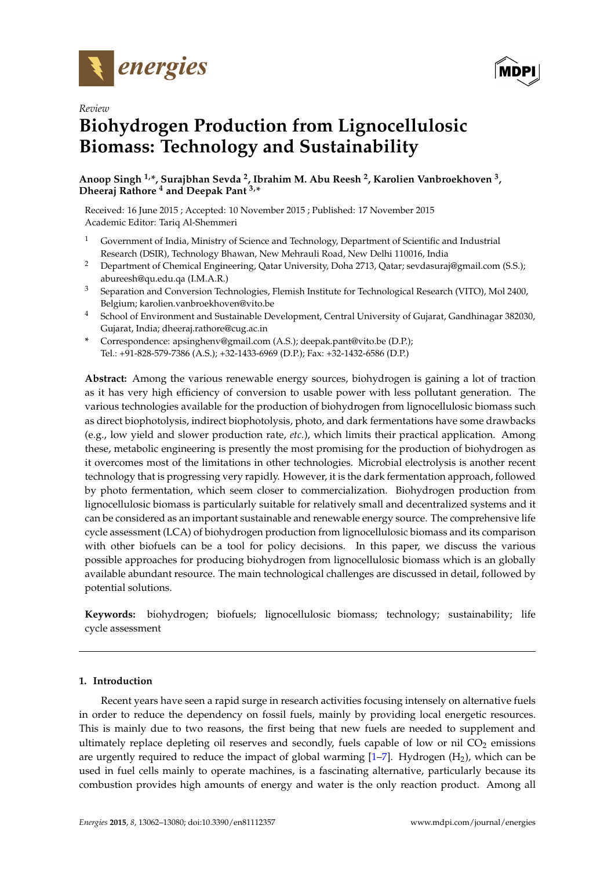

*Review*



# **Biohydrogen Production from Lignocellulosic Biomass: Technology and Sustainability**

**Anoop Singh 1,\*, Surajbhan Sevda <sup>2</sup> , Ibrahim M. Abu Reesh <sup>2</sup> , Karolien Vanbroekhoven <sup>3</sup> , Dheeraj Rathore <sup>4</sup> and Deepak Pant 3,\***

Received: 16 June 2015 ; Accepted: 10 November 2015 ; Published: 17 November 2015 Academic Editor: Tariq Al-Shemmeri

- <sup>1</sup> Government of India, Ministry of Science and Technology, Department of Scientific and Industrial Research (DSIR), Technology Bhawan, New Mehrauli Road, New Delhi 110016, India
- <sup>2</sup> Department of Chemical Engineering, Qatar University, Doha 2713, Qatar; sevdasuraj@gmail.com (S.S.); abureesh@qu.edu.qa (I.M.A.R.)
- <sup>3</sup> Separation and Conversion Technologies, Flemish Institute for Technological Research (VITO), Mol 2400, Belgium; karolien.vanbroekhoven@vito.be
- <sup>4</sup> School of Environment and Sustainable Development, Central University of Gujarat, Gandhinagar 382030, Gujarat, India; dheeraj.rathore@cug.ac.in
- **\*** Correspondence: apsinghenv@gmail.com (A.S.); deepak.pant@vito.be (D.P.); Tel.: +91-828-579-7386 (A.S.); +32-1433-6969 (D.P.); Fax: +32-1432-6586 (D.P.)

**Abstract:** Among the various renewable energy sources, biohydrogen is gaining a lot of traction as it has very high efficiency of conversion to usable power with less pollutant generation. The various technologies available for the production of biohydrogen from lignocellulosic biomass such as direct biophotolysis, indirect biophotolysis, photo, and dark fermentations have some drawbacks (e.g., low yield and slower production rate, *etc.*), which limits their practical application. Among these, metabolic engineering is presently the most promising for the production of biohydrogen as it overcomes most of the limitations in other technologies. Microbial electrolysis is another recent technology that is progressing very rapidly. However, it is the dark fermentation approach, followed by photo fermentation, which seem closer to commercialization. Biohydrogen production from lignocellulosic biomass is particularly suitable for relatively small and decentralized systems and it can be considered as an important sustainable and renewable energy source. The comprehensive life cycle assessment (LCA) of biohydrogen production from lignocellulosic biomass and its comparison with other biofuels can be a tool for policy decisions. In this paper, we discuss the various possible approaches for producing biohydrogen from lignocellulosic biomass which is an globally available abundant resource. The main technological challenges are discussed in detail, followed by potential solutions.

**Keywords:** biohydrogen; biofuels; lignocellulosic biomass; technology; sustainability; life cycle assessment

# **1. Introduction**

Recent years have seen a rapid surge in research activities focusing intensely on alternative fuels in order to reduce the dependency on fossil fuels, mainly by providing local energetic resources. This is mainly due to two reasons, the first being that new fuels are needed to supplement and ultimately replace depleting oil reserves and secondly, fuels capable of low or nil  $CO<sub>2</sub>$  emissions are urgently required to reduce the impact of global warming  $[1-7]$  $[1-7]$ . Hydrogen  $(H_2)$ , which can be used in fuel cells mainly to operate machines, is a fascinating alternative, particularly because its combustion provides high amounts of energy and water is the only reaction product. Among all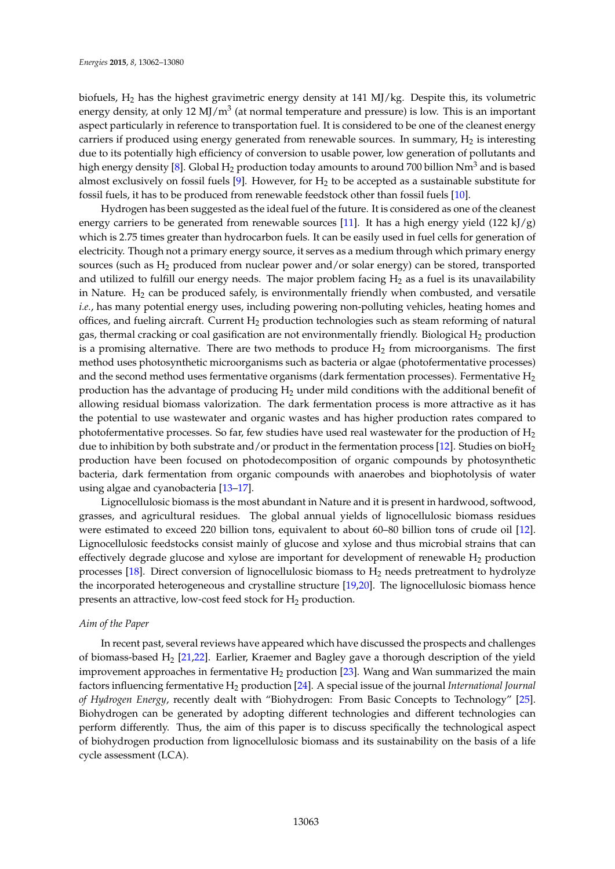biofuels,  $H_2$  has the highest gravimetric energy density at 141 MJ/kg. Despite this, its volumetric energy density, at only 12 MJ/m<sup>3</sup> (at normal temperature and pressure) is low. This is an important aspect particularly in reference to transportation fuel. It is considered to be one of the cleanest energy carriers if produced using energy generated from renewable sources. In summary,  $H_2$  is interesting due to its potentially high efficiency of conversion to usable power, low generation of pollutants and high energy density [\[8\]](#page-12-2). Global  $H_2$  production today amounts to around 700 billion  $Nm^3$  and is based almost exclusively on fossil fuels [\[9\]](#page-12-3). However, for  $H_2$  to be accepted as a sustainable substitute for fossil fuels, it has to be produced from renewable feedstock other than fossil fuels [\[10\]](#page-13-0).

Hydrogen has been suggested as the ideal fuel of the future. It is considered as one of the cleanest energy carriers to be generated from renewable sources [\[11\]](#page-13-1). It has a high energy yield  $(122 \text{ kJ/g})$ which is 2.75 times greater than hydrocarbon fuels. It can be easily used in fuel cells for generation of electricity. Though not a primary energy source, it serves as a medium through which primary energy sources (such as H<sup>2</sup> produced from nuclear power and/or solar energy) can be stored, transported and utilized to fulfill our energy needs. The major problem facing  $H_2$  as a fuel is its unavailability in Nature.  $H_2$  can be produced safely, is environmentally friendly when combusted, and versatile *i.e.*, has many potential energy uses, including powering non-polluting vehicles, heating homes and offices, and fueling aircraft. Current  $H_2$  production technologies such as steam reforming of natural gas, thermal cracking or coal gasification are not environmentally friendly. Biological  $H_2$  production is a promising alternative. There are two methods to produce  $H_2$  from microorganisms. The first method uses photosynthetic microorganisms such as bacteria or algae (photofermentative processes) and the second method uses fermentative organisms (dark fermentation processes). Fermentative  $H_2$ production has the advantage of producing  $H_2$  under mild conditions with the additional benefit of allowing residual biomass valorization. The dark fermentation process is more attractive as it has the potential to use wastewater and organic wastes and has higher production rates compared to photofermentative processes. So far, few studies have used real wastewater for the production of  $H_2$ due to inhibition by both substrate and/or product in the fermentation process [\[12\]](#page-13-2). Studies on bioH<sub>2</sub> production have been focused on photodecomposition of organic compounds by photosynthetic bacteria, dark fermentation from organic compounds with anaerobes and biophotolysis of water using algae and cyanobacteria [\[13](#page-13-3)[–17\]](#page-13-4).

Lignocellulosic biomass is the most abundant in Nature and it is present in hardwood, softwood, grasses, and agricultural residues. The global annual yields of lignocellulosic biomass residues were estimated to exceed 220 billion tons, equivalent to about 60–80 billion tons of crude oil [\[12\]](#page-13-2). Lignocellulosic feedstocks consist mainly of glucose and xylose and thus microbial strains that can effectively degrade glucose and xylose are important for development of renewable  $H_2$  production processes [\[18\]](#page-13-5). Direct conversion of lignocellulosic biomass to  $H_2$  needs pretreatment to hydrolyze the incorporated heterogeneous and crystalline structure [\[19,](#page-13-6)[20\]](#page-13-7). The lignocellulosic biomass hence presents an attractive, low-cost feed stock for  $H_2$  production.

# *Aim of the Paper*

In recent past, several reviews have appeared which have discussed the prospects and challenges of biomass-based  $H_2$  [\[21,](#page-13-8)[22\]](#page-13-9). Earlier, Kraemer and Bagley gave a thorough description of the yield improvement approaches in fermentative  $H_2$  production [\[23\]](#page-13-10). Wang and Wan summarized the main factors influencing fermentative H<sup>2</sup> production [\[24\]](#page-13-11). A special issue of the journal *International Journal of Hydrogen Energy*, recently dealt with "Biohydrogen: From Basic Concepts to Technology" [\[25\]](#page-13-12). Biohydrogen can be generated by adopting different technologies and different technologies can perform differently. Thus, the aim of this paper is to discuss specifically the technological aspect of biohydrogen production from lignocellulosic biomass and its sustainability on the basis of a life cycle assessment (LCA).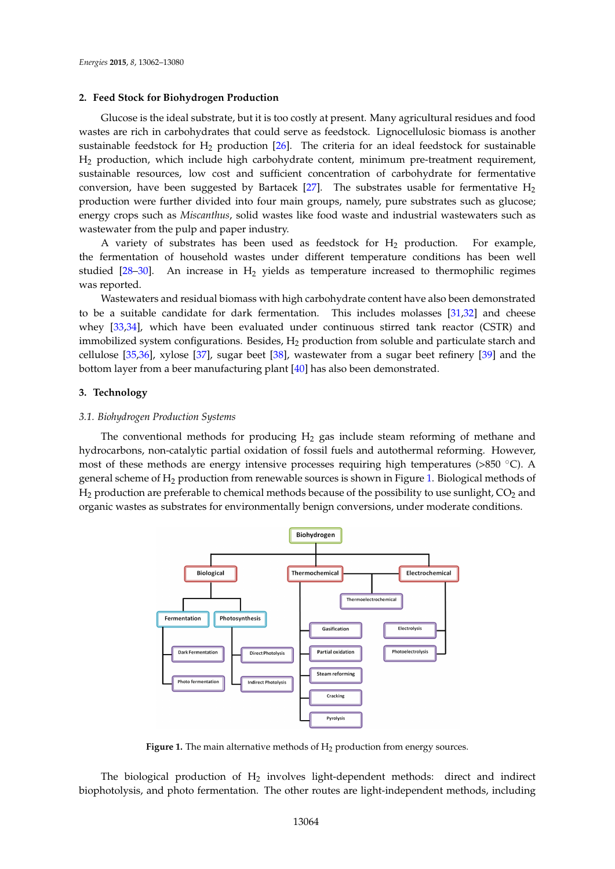# **2. Feed Stock for Biohydrogen Production**

Glucose is the ideal substrate, but it is too costly at present. Many agricultural residues and food wastes are rich in carbohydrates that could serve as feedstock. Lignocellulosic biomass is another sustainable feedstock for  $H_2$  production [\[26\]](#page-13-13). The criteria for an ideal feedstock for sustainable H<sup>2</sup> production, which include high carbohydrate content, minimum pre-treatment requirement, sustainable resources, low cost and sufficient concentration of carbohydrate for fermentative conversion, have been suggested by Bartacek [\[27\]](#page-13-14). The substrates usable for fermentative  $H_2$ production were further divided into four main groups, namely, pure substrates such as glucose; energy crops such as *Miscanthus*, solid wastes like food waste and industrial wastewaters such as *Energies* **2015**, *8*, page–page wastewater from the pulp and paper industry.

A variety of substrates has been used as feedstock for  $H_2$  production. For example, the fermentation of household wastes under different temperature conditions has been well studied [28-[30\]](#page-13-16). An increase in  $H_2$  yields as temperature increased to thermophilic regimes was reported.  $\mu$ ery of substrates has been used as recusived for  $\mu_2$  production. For energy crops such as *Miscanthus*, solid wastes like food waste and industrial wastewaters such as

v<sub>r</sub>ertea.<br>Wastewaters and residual biomass with high carbohydrate content have also been demonstrated to be a suitable candidate for dark fermentation. This includes molasses  $[31,32]$  $[31,32]$  and cheese whey [\[33,](#page-13-19)[34\]](#page-14-0), which have been evaluated under continuous stirred tank reactor (CSTR) and immobilized system configurations. Besides,  $H_2$  production from soluble and particulate starch and cellulose [\[35,](#page-14-1)[36\]](#page-14-2), xylose [\[37\]](#page-14-3), sugar beet [\[38\]](#page-14-4), wastewater from a sugar beet refinery [\[39\]](#page-14-5) and the bottom layer from a beer manufacturing plant [\[40\]](#page-14-6) has also been demonstrated. lets and residual biomass with high carbonydrate content have also been den to be a suitable candidate for describe candidate for data for data for days include the second conditions of

#### **3. Technology**  $\log v$

# **3.1. Biohydrogen Production Systems**

The conventional methods for producing H<sub>2</sub> gas include steam reforming of methane and hydrocarbons, non-catalytic partial oxidation of fossil fuels and autothermal reforming. However, most of these methods are energy intensive processes requiring high temperatures (>850  $^{\circ}$ C). A general scheme of H<sub>2</sub> production from renewable sources is shown in Figure [1.](#page-2-0) Biological methods of  ${\rm H_2}$  production are preferable to chemical methods because of the possibility to use sunlight,  $\rm CO_2$  and organic wastes as substrates for environmentally benign conversions, under moderate conditions.  $A_{\text{max}}$  of H<sub>2</sub> production from renewable sources is shown in Figure 1. Biological methods

<span id="page-2-0"></span>

**Figure 1.** The main alternative methods of  $H_2$  production from energy sources.

The biological production of  $H_2$  involves light-dependent methods: direct and indirect biophotolysis, and photo fermentation. The other routes are light-independent methods, including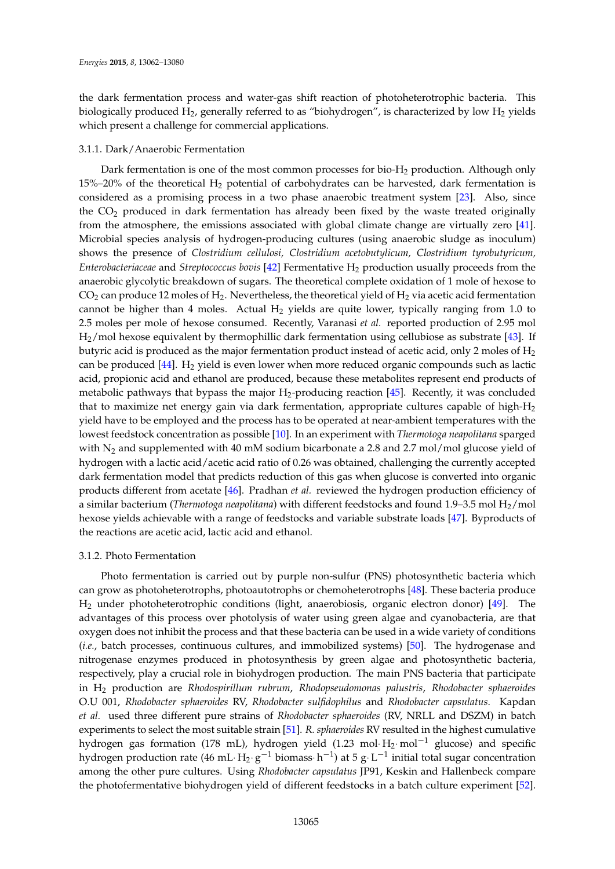the dark fermentation process and water-gas shift reaction of photoheterotrophic bacteria. This biologically produced  $H_2$ , generally referred to as "biohydrogen", is characterized by low  $H_2$  yields which present a challenge for commercial applications.

# 3.1.1. Dark/Anaerobic Fermentation

Dark fermentation is one of the most common processes for bio- $H_2$  production. Although only  $15\%$ –20% of the theoretical H<sub>2</sub> potential of carbohydrates can be harvested, dark fermentation is considered as a promising process in a two phase anaerobic treatment system [\[23\]](#page-13-10). Also, since the  $CO<sub>2</sub>$  produced in dark fermentation has already been fixed by the waste treated originally from the atmosphere, the emissions associated with global climate change are virtually zero [\[41\]](#page-14-7). Microbial species analysis of hydrogen-producing cultures (using anaerobic sludge as inoculum) shows the presence of *Clostridium cellulosi, Clostridium acetobutylicum, Clostridium tyrobutyricum, Enterobacteriaceae* and *Streptococcus bovis* [\[42\]](#page-14-8) Fermentative H<sub>2</sub> production usually proceeds from the anaerobic glycolytic breakdown of sugars. The theoretical complete oxidation of 1 mole of hexose to  $CO<sub>2</sub>$  can produce 12 moles of H<sub>2</sub>. Nevertheless, the theoretical yield of H<sub>2</sub> via acetic acid fermentation cannot be higher than 4 moles. Actual  $H_2$  yields are quite lower, typically ranging from 1.0 to 2.5 moles per mole of hexose consumed. Recently, Varanasi *et al.* reported production of 2.95 mol H2/mol hexose equivalent by thermophillic dark fermentation using cellubiose as substrate [\[43\]](#page-14-9). If butyric acid is produced as the major fermentation product instead of acetic acid, only 2 moles of  $H_2$ can be produced  $[44]$ . H<sub>2</sub> yield is even lower when more reduced organic compounds such as lactic acid, propionic acid and ethanol are produced, because these metabolites represent end products of metabolic pathways that bypass the major  $H_2$ -producing reaction [\[45\]](#page-14-11). Recently, it was concluded that to maximize net energy gain via dark fermentation, appropriate cultures capable of high- $H_2$ yield have to be employed and the process has to be operated at near-ambient temperatures with the lowest feedstock concentration as possible [\[10\]](#page-13-0). In an experiment with *Thermotoga neapolitana* sparged with  $N_2$  and supplemented with 40 mM sodium bicarbonate a 2.8 and 2.7 mol/mol glucose yield of hydrogen with a lactic acid/acetic acid ratio of 0.26 was obtained, challenging the currently accepted dark fermentation model that predicts reduction of this gas when glucose is converted into organic products different from acetate [\[46\]](#page-14-12). Pradhan *et al.* reviewed the hydrogen production efficiency of a similar bacterium (*Thermotoga neapolitana*) with different feedstocks and found 1.9–3.5 mol H2/mol hexose yields achievable with a range of feedstocks and variable substrate loads [\[47\]](#page-14-13). Byproducts of the reactions are acetic acid, lactic acid and ethanol.

# 3.1.2. Photo Fermentation

Photo fermentation is carried out by purple non-sulfur (PNS) photosynthetic bacteria which can grow as photoheterotrophs, photoautotrophs or chemoheterotrophs [\[48\]](#page-14-14). These bacteria produce H<sup>2</sup> under photoheterotrophic conditions (light, anaerobiosis, organic electron donor) [\[49\]](#page-14-15). The advantages of this process over photolysis of water using green algae and cyanobacteria, are that oxygen does not inhibit the process and that these bacteria can be used in a wide variety of conditions (*i.e.*, batch processes, continuous cultures, and immobilized systems) [\[50\]](#page-14-16). The hydrogenase and nitrogenase enzymes produced in photosynthesis by green algae and photosynthetic bacteria, respectively, play a crucial role in biohydrogen production. The main PNS bacteria that participate in H<sup>2</sup> production are *Rhodospirillum rubrum*, *Rhodopseudomonas palustris*, *Rhodobacter sphaeroides* O.U 001, *Rhodobacter sphaeroides* RV, *Rhodobacter sulfidophilus* and *Rhodobacter capsulatus*. Kapdan *et al.* used three different pure strains of *Rhodobacter sphaeroides* (RV, NRLL and DSZM) in batch experiments to select the most suitable strain [\[51\]](#page-14-17). *R. sphaeroides* RV resulted in the highest cumulative hydrogen gas formation (178 mL), hydrogen yield (1.23 mol· $H_2$ ·mol<sup>-1</sup> glucose) and specific hydrogen production rate (46 mL·H<sub>2</sub>·g $^{-1}$  biomass·h $^{-1}$ ) at 5 g·L $^{-1}$  initial total sugar concentration among the other pure cultures. Using *Rhodobacter capsulatus* JP91, Keskin and Hallenbeck compare the photofermentative biohydrogen yield of different feedstocks in a batch culture experiment [\[52\]](#page-14-18).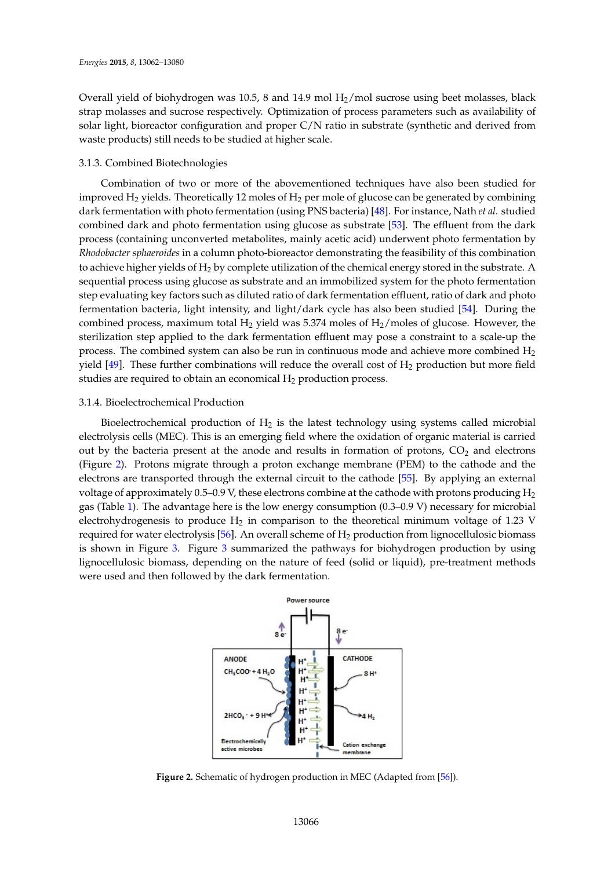Overall yield of biohydrogen was 10.5, 8 and 14.9 mol  $H_2$ /mol sucrose using beet molasses, black strap molasses and sucrose respectively. Optimization of process parameters such as availability of solar light, bioreactor configuration and proper C/N ratio in substrate (synthetic and derived from waste products) still needs to be studied at higher scale.

# 3.1.3. Combined Biotechnologies

Combination of two or more of the abovementioned techniques have also been studied for improved  $H_2$  yields. Theoretically 12 moles of  $H_2$  per mole of glucose can be generated by combining dark fermentation with photo fermentation (using PNS bacteria) [\[48\]](#page-14-14). For instance, Nath *et al.* studied combined dark and photo fermentation using glucose as substrate [\[53\]](#page-14-19). The effluent from the dark process (containing unconverted metabolites, mainly acetic acid) underwent photo fermentation by *Energies* **2015**, *8*, page–page *Rhodobacter sphaeroides* in a column photo-bioreactor demonstrating the feasibility of this combination to achieve higher yields of  $\rm H_2$  by complete utilization of the chemical energy stored in the substrate. A sequential process using glucose as substrate and an immobilized system for the photo fermentation step evaluating key factors such as diluted ratio of dark fermentation effluent, ratio of dark and photo dark fermentation with photo fermentation (using PNS bacteria) [48]. For instance, Nath *et al.* studied fermentation bacteria, light intensity, and light/dark cycle has also been studied [\[54\]](#page-14-20). During the combined process, maximum total  $H_2$  yield was 5.374 moles of  $H_2$ /moles of glucose. However, the sterilization step applied to the dark fermentation effluent may pose a constraint to a scale-up the process. The combined system can also be run in continuous mode and achieve more combined  $H_2$ yield  $[49]$ . These further combinations will reduce the overall cost of  $H_2$  production but more field studies are required to obtain an economical  $H_2$  production process. *Rhodobacter sphateroides* in a column photo *demonstration* photos of the features of the features of the features of the features of the features of the features of the features of the features of the features of the f During the combined process, maximum total H2 yield was 5.374 moles of H2/moles of glucose.

### 3.1.4. Bioelectrochemical Production step applied to the data fermentation effluent may pose a constraint to a selectrochemical production

Bioelectrochemical production of  $H_2$  is the latest technology using systems called microbial electrolysis cells (MEC). This is an emerging field where the oxidation of organic material is carried out by the bacteria present at the anode and results in formation of protons, CO<sub>2</sub> and electrons (Figure [2\)](#page-4-0). Protons migrate through a proton exchange membrane (PEM) to the cathode and the electrons are transported through the external circuit to the cathode [\[55\]](#page-14-21). By applying an external voltage of approximately 0.5–0.9 V, these electrons combine at the cathode with protons producing  $H_2$ gas (Table [1\)](#page-5-0). The advantage here is the low energy consumption (0.3–0.9 V) necessary for microbial electrohydrogenesis to produce  $\rm{H}_{2}$  in comparison to the theoretical minimum voltage of 1.23 V required for water electrolysis [\[56\]](#page-15-0). An overall scheme of  $H_2$  production from lignocellulosic biomass is shown in Figure [3.](#page-5-1) Figure [3](#page-5-1) summarized the pathways for biohydrogen production by using lignocellulosic biomass, depending on the nature of feed (solid or liquid), pre-treatment methods were used and then followed by the dark fermentation. more field structure to the field the terms of the terms of the production production production production pro (Figure 2). Protons migrate through a proton exchange membrane (PEM) to the cathode membrane (PEM) to the cathode and the cathode and the cathode and the cathode and the cathode and the cathode and the cathode and the cath 1. 1.33 V required for water electrolysis [56]. An overall scheme of H2 production from lignocellulosic local scheme of H2 production for H2 production for the set of H2 production of H2 production for the set of H2 produc

<span id="page-4-0"></span>

**Figure 2.** Schematic of hydrogen production in MEC (Adapted from [[56\]](#page-15-0)).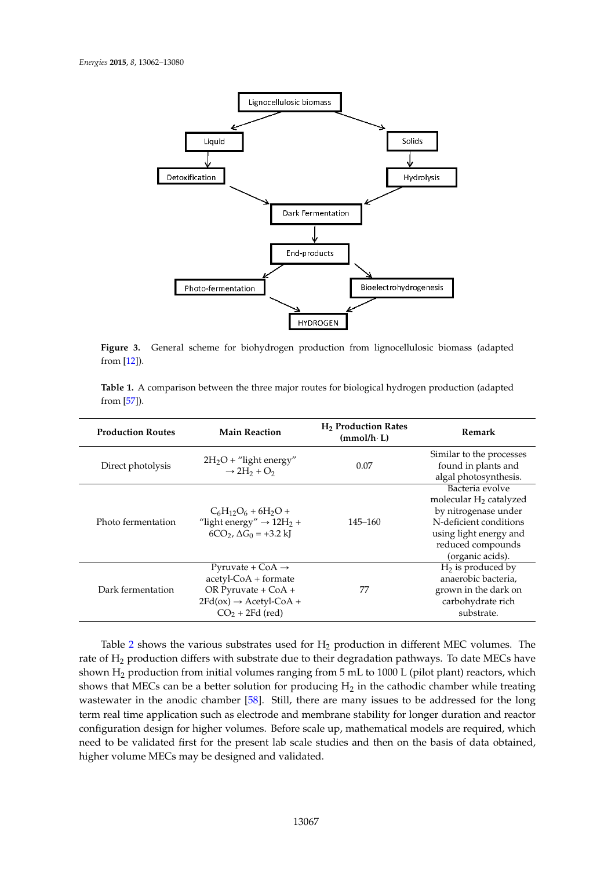<span id="page-5-1"></span>

**Figure 3.** General scheme for biohydrogen production from lignocellulosic biomass (adapted from [\[12\]](#page-13-2)).

<span id="page-5-0"></span>**Table 1.** A comparison between the three major routes for biological hydrogen production (adapted from  $[57]$ ).

| <b>Production Routes</b> | <b>Main Reaction</b>                                                                                                                                     | H <sub>2</sub> Production Rates<br>$(mmol/h \cdot L)$ | <b>Remark</b>                                                                                                                                                     |
|--------------------------|----------------------------------------------------------------------------------------------------------------------------------------------------------|-------------------------------------------------------|-------------------------------------------------------------------------------------------------------------------------------------------------------------------|
| Direct photolysis        | $2H_2O +$ "light energy"<br>$\rightarrow$ 2H <sub>2</sub> + O <sub>2</sub>                                                                               | 0.07                                                  | Similar to the processes<br>found in plants and<br>algal photosynthesis.                                                                                          |
| Photo fermentation       | $C_6H_{12}O_6 + 6H_2O +$<br>"light energy" $\rightarrow$ 12H <sub>2</sub> +<br>$6CO_2$ , $\Delta G_0 = +3.2$ kJ                                          | 145–160                                               | Bacteria evolve<br>molecular $H_2$ catalyzed<br>by nitrogenase under<br>N-deficient conditions<br>using light energy and<br>reduced compounds<br>(organic acids). |
| Dark fermentation        | Pyruvate + $CoA \rightarrow$<br>$acetyl\text{-}CoA + formate$<br>OR Pyruvate + $CoA +$<br>$2Fd(ox) \rightarrow Acetyl\text{-}CoA +$<br>$CO2 + 2Fd$ (red) | 77                                                    | $H_2$ is produced by<br>anaerobic bacteria,<br>grown in the dark on<br>carbohydrate rich<br>substrate.                                                            |

Table [2](#page-6-0) shows the various substrates used for  $H_2$  production in different MEC volumes. The rate of  ${\rm H_2}$  production differs with substrate due to their degradation pathways. To date MECs have shows that MECs can be a better solution for producing  ${\rm H_2}$  in the cathodic chamber while treating wastewater in the anodic chamber  $[58]$ . Still, there are many issues to be addressed for the long term real time application such as electrode and membrane stability for longer duration and reactor configuration design for higher volumes. Before scale up, mathematical models are required, which need to be validated first for the present lab scale studies and then on the basis of data obtained, higher volume MECs may be designed and validated. shown H<sub>2</sub> production from initial volumes ranging from 5 mL to 1000 L (pilot plant) reactors, which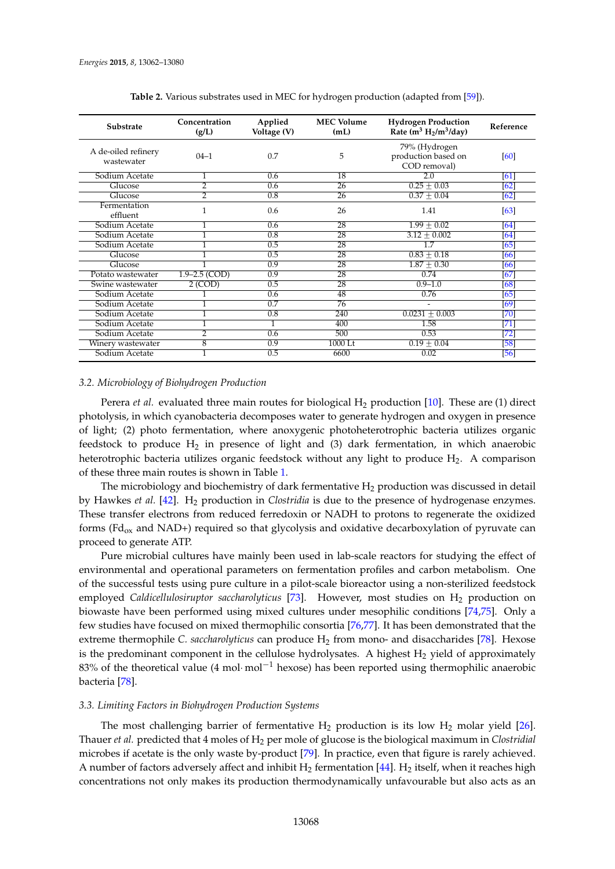<span id="page-6-0"></span>

| <b>Substrate</b>                  | Concentration<br>(g/L) | Applied<br>Voltage (V) | <b>MEC Volume</b><br>(mL) | <b>Hydrogen Production</b><br>Rate $(m^3 H_2/m^3/day)$ | Reference   |
|-----------------------------------|------------------------|------------------------|---------------------------|--------------------------------------------------------|-------------|
| A de-oiled refinery<br>wastewater | $04 - 1$               | 0.7                    | 5                         | 79% (Hydrogen<br>production based on<br>COD removal)   | [60]        |
| Sodium Acetate                    | 1                      | 0.6                    | 18                        | 2.0                                                    | [61]        |
| Glucose                           | $\overline{2}$         | 0.6                    | 26                        | $0.25 + 0.03$                                          | [62]        |
| Glucose                           | $\overline{2}$         | 0.8                    | 26                        | $0.37 + 0.04$                                          | [62]        |
| Fermentation<br>effluent          | 1                      | 0.6                    | 26                        | 1.41                                                   | [63]        |
| Sodium Acetate                    |                        | 0.6                    | 28                        | $1.99 + 0.02$                                          | [64]        |
| Sodium Acetate                    |                        | 0.8                    | 28                        | $3.12 + 0.002$                                         | [64]        |
| Sodium Acetate                    | ī                      | 0.5                    | 28                        | 1.7                                                    | [65]        |
| Glucose                           |                        | 0.5                    | 28                        | $0.83 + 0.18$                                          | [66]        |
| Glucose                           |                        | 0.9                    | 28                        | $\frac{1.87 + 0.30}{2}$                                | [66]        |
| Potato wastewater                 | $1.9 - 2.5$ (COD)      | 0.9                    | 28                        | 0.74                                                   | [67]        |
| Swine wastewater                  | 2 (COD)                | 0.5                    | $\overline{28}$           | $0.9 - 1.0$                                            | [68]        |
| Sodium Acetate                    |                        | 0.6                    | 48                        | 0.76                                                   | [65]        |
| Sodium Acetate                    | 1                      | 0.7                    | 76                        | $\overline{a}$                                         | [69]        |
| Sodium Acetate                    | 1                      | 0.8                    | 240                       | $0.0231 \pm 0.003$                                     | [70]        |
| Sodium Acetate                    |                        |                        | 400                       | 1.58                                                   | [71]        |
| Sodium Acetate                    | $\overline{2}$         | 0.6                    | 500                       | 0.53                                                   | $[72]$      |
| Winery wastewater                 | $\overline{8}$         | 0.9                    | 1000 Lt                   | $0.19 + 0.04$                                          | $\sqrt{58}$ |
| Sodium Acetate                    |                        | 0.5                    | 6600                      | 0.02                                                   | $[56]$      |

**Table 2.** Various substrates used in MEC for hydrogen production (adapted from [\[59\]](#page-15-3)).

# *3.2. Microbiology of Biohydrogen Production*

Perera *et al.* evaluated three main routes for biological  $H_2$  production [\[10\]](#page-13-0). These are (1) direct photolysis, in which cyanobacteria decomposes water to generate hydrogen and oxygen in presence of light; (2) photo fermentation, where anoxygenic photoheterotrophic bacteria utilizes organic feedstock to produce  $H_2$  in presence of light and (3) dark fermentation, in which anaerobic heterotrophic bacteria utilizes organic feedstock without any light to produce H<sub>2</sub>. A comparison of these three main routes is shown in Table [1.](#page-5-0)

The microbiology and biochemistry of dark fermentative  $H_2$  production was discussed in detail by Hawkes *et al.* [\[42\]](#page-14-8). H<sup>2</sup> production in *Clostridia* is due to the presence of hydrogenase enzymes. These transfer electrons from reduced ferredoxin or NADH to protons to regenerate the oxidized forms ( $Fd_{ox}$  and  $NAD+$ ) required so that glycolysis and oxidative decarboxylation of pyruvate can proceed to generate ATP.

Pure microbial cultures have mainly been used in lab-scale reactors for studying the effect of environmental and operational parameters on fermentation profiles and carbon metabolism. One of the successful tests using pure culture in a pilot-scale bioreactor using a non-sterilized feedstock employed *Caldicellulosiruptor saccharolyticus* [\[73\]](#page-15-17). However, most studies on H<sub>2</sub> production on biowaste have been performed using mixed cultures under mesophilic conditions [\[74,](#page-15-18)[75\]](#page-15-19). Only a few studies have focused on mixed thermophilic consortia [\[76,](#page-15-20)[77\]](#page-16-0). It has been demonstrated that the extreme thermophile *C. saccharolyticus* can produce H<sub>2</sub> from mono- and disaccharides [\[78\]](#page-16-1). Hexose is the predominant component in the cellulose hydrolysates. A highest  $H_2$  yield of approximately 83% of the theoretical value (4 mol·mol<sup>-1</sup> hexose) has been reported using thermophilic anaerobic bacteria [\[78\]](#page-16-1).

# *3.3. Limiting Factors in Biohydrogen Production Systems*

The most challenging barrier of fermentative  $H_2$  production is its low  $H_2$  molar yield [\[26\]](#page-13-13). Thauer *et al.* predicted that 4 moles of H<sub>2</sub> per mole of glucose is the biological maximum in *Clostridial* microbes if acetate is the only waste by-product [\[79\]](#page-16-2). In practice, even that figure is rarely achieved. A number of factors adversely affect and inhibit  $H_2$  fermentation [\[44\]](#page-14-10). H<sub>2</sub> itself, when it reaches high concentrations not only makes its production thermodynamically unfavourable but also acts as an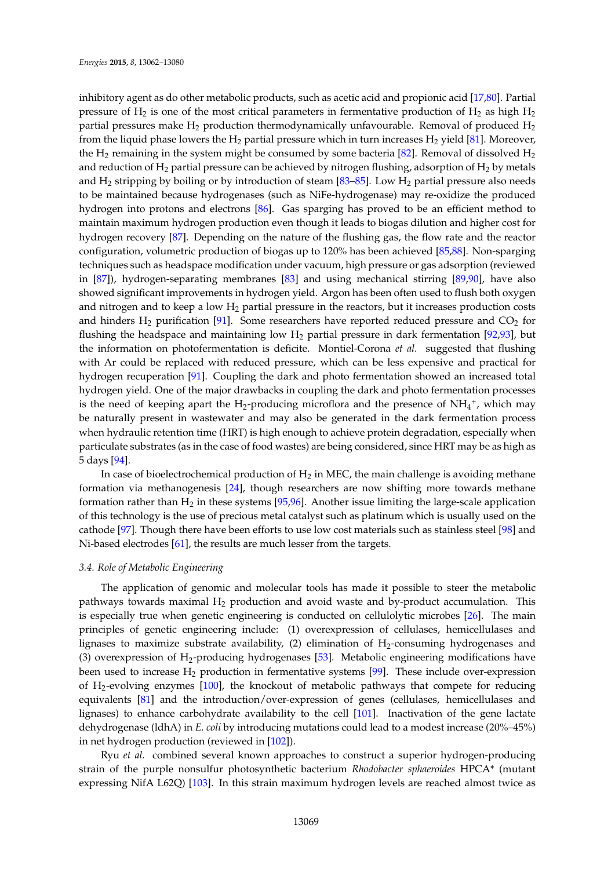inhibitory agent as do other metabolic products, such as acetic acid and propionic acid [\[17,](#page-13-4)[80\]](#page-16-3). Partial pressure of H<sub>2</sub> is one of the most critical parameters in fermentative production of H<sub>2</sub> as high H<sub>2</sub> partial pressures make  $H_2$  production thermodynamically unfavourable. Removal of produced  $H_2$ from the liquid phase lowers the  $H_2$  partial pressure which in turn increases  $H_2$  yield [\[81\]](#page-16-4). Moreover, the  $H_2$  remaining in the system might be consumed by some bacteria [\[82\]](#page-16-5). Removal of dissolved  $H_2$ and reduction of  $H_2$  partial pressure can be achieved by nitrogen flushing, adsorption of  $H_2$  by metals and  $H_2$  stripping by boiling or by introduction of steam [\[83–](#page-16-6)[85\]](#page-16-7). Low  $H_2$  partial pressure also needs to be maintained because hydrogenases (such as NiFe-hydrogenase) may re-oxidize the produced hydrogen into protons and electrons [\[86\]](#page-16-8). Gas sparging has proved to be an efficient method to maintain maximum hydrogen production even though it leads to biogas dilution and higher cost for hydrogen recovery [\[87\]](#page-16-9). Depending on the nature of the flushing gas, the flow rate and the reactor configuration, volumetric production of biogas up to 120% has been achieved [\[85,](#page-16-7)[88\]](#page-16-10). Non-sparging techniques such as headspace modification under vacuum, high pressure or gas adsorption (reviewed in [\[87\]](#page-16-9)), hydrogen-separating membranes [\[83\]](#page-16-6) and using mechanical stirring [\[89,](#page-16-11)[90\]](#page-16-12), have also showed significant improvements in hydrogen yield. Argon has been often used to flush both oxygen and nitrogen and to keep a low  $H_2$  partial pressure in the reactors, but it increases production costs and hinders  $H_2$  purification [\[91\]](#page-16-13). Some researchers have reported reduced pressure and  $CO_2$  for flushing the headspace and maintaining low  $H_2$  partial pressure in dark fermentation [\[92](#page-16-14)[,93\]](#page-16-15), but the information on photofermentation is deficite. Montiel-Corona *et al.* suggested that flushing with Ar could be replaced with reduced pressure, which can be less expensive and practical for hydrogen recuperation [\[91\]](#page-16-13). Coupling the dark and photo fermentation showed an increased total hydrogen yield. One of the major drawbacks in coupling the dark and photo fermentation processes is the need of keeping apart the H<sub>2</sub>-producing microflora and the presence of  $NH_4^+$ , which may be naturally present in wastewater and may also be generated in the dark fermentation process when hydraulic retention time (HRT) is high enough to achieve protein degradation, especially when particulate substrates (as in the case of food wastes) are being considered, since HRT may be as high as 5 days [\[94\]](#page-16-16).

In case of bioelectrochemical production of  $H_2$  in MEC, the main challenge is avoiding methane formation via methanogenesis [\[24\]](#page-13-11), though researchers are now shifting more towards methane formation rather than  $H_2$  in these systems [\[95](#page-16-17)[,96\]](#page-16-18). Another issue limiting the large-scale application of this technology is the use of precious metal catalyst such as platinum which is usually used on the cathode [\[97\]](#page-16-19). Though there have been efforts to use low cost materials such as stainless steel [\[98\]](#page-16-20) and Ni-based electrodes [\[61\]](#page-15-5), the results are much lesser from the targets.

# *3.4. Role of Metabolic Engineering*

The application of genomic and molecular tools has made it possible to steer the metabolic pathways towards maximal  $H_2$  production and avoid waste and by-product accumulation. This is especially true when genetic engineering is conducted on cellulolytic microbes [\[26\]](#page-13-13). The main principles of genetic engineering include: (1) overexpression of cellulases, hemicellulases and lignases to maximize substrate availability,  $(2)$  elimination of  $H_2$ -consuming hydrogenases and (3) overexpression of  $H_2$ -producing hydrogenases [\[53\]](#page-14-19). Metabolic engineering modifications have been used to increase  $H_2$  production in fermentative systems [\[99\]](#page-16-21). These include over-expression of H2-evolving enzymes [\[100\]](#page-17-0), the knockout of metabolic pathways that compete for reducing equivalents [\[81\]](#page-16-4) and the introduction/over-expression of genes (cellulases, hemicellulases and lignases) to enhance carbohydrate availability to the cell [\[101\]](#page-17-1). Inactivation of the gene lactate dehydrogenase (ldhA) in *E. coli* by introducing mutations could lead to a modest increase (20%–45%) in net hydrogen production (reviewed in [\[102\]](#page-17-2)).

Ryu *et al.* combined several known approaches to construct a superior hydrogen-producing strain of the purple nonsulfur photosynthetic bacterium *Rhodobacter sphaeroides* HPCA\* (mutant expressing NifA L62Q) [\[103\]](#page-17-3). In this strain maximum hydrogen levels are reached almost twice as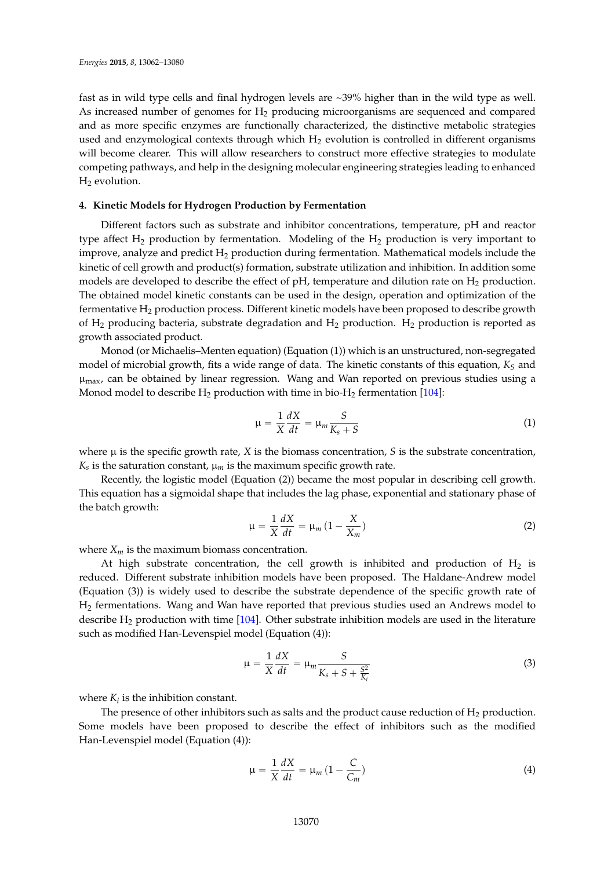fast as in wild type cells and final hydrogen levels are ~39% higher than in the wild type as well. As increased number of genomes for  $H_2$  producing microorganisms are sequenced and compared and as more specific enzymes are functionally characterized, the distinctive metabolic strategies used and enzymological contexts through which  $H_2$  evolution is controlled in different organisms will become clearer. This will allow researchers to construct more effective strategies to modulate competing pathways, and help in the designing molecular engineering strategies leading to enhanced  $H_2$  evolution.

# **4. Kinetic Models for Hydrogen Production by Fermentation**

Different factors such as substrate and inhibitor concentrations, temperature, pH and reactor type affect  $H_2$  production by fermentation. Modeling of the  $H_2$  production is very important to improve, analyze and predict  $H_2$  production during fermentation. Mathematical models include the kinetic of cell growth and product(s) formation, substrate utilization and inhibition. In addition some models are developed to describe the effect of pH, temperature and dilution rate on  $H_2$  production. The obtained model kinetic constants can be used in the design, operation and optimization of the fermentative H<sup>2</sup> production process. Different kinetic models have been proposed to describe growth of  $H_2$  producing bacteria, substrate degradation and  $H_2$  production.  $H_2$  production is reported as growth associated product.

Monod (or Michaelis–Menten equation) (Equation (1)) which is an unstructured, non-segregated model of microbial growth, fits a wide range of data. The kinetic constants of this equation,  $K_S$  and  $\mu_{\text{max}}$ , can be obtained by linear regression. Wang and Wan reported on previous studies using a Monod model to describe  $H_2$  production with time in bio- $H_2$  fermentation [\[104\]](#page-17-4):

$$
\mu = \frac{1}{X} \frac{dX}{dt} = \mu_m \frac{S}{K_s + S} \tag{1}
$$

where  $\mu$  is the specific growth rate, *X* is the biomass concentration, *S* is the substrate concentration,  $K_s$  is the saturation constant,  $\mu_m$  is the maximum specific growth rate.

Recently, the logistic model (Equation (2)) became the most popular in describing cell growth. This equation has a sigmoidal shape that includes the lag phase, exponential and stationary phase of the batch growth:

$$
\mu = \frac{1}{X} \frac{dX}{dt} = \mu_m \left( 1 - \frac{X}{X_m} \right) \tag{2}
$$

where  $X_m$  is the maximum biomass concentration.

At high substrate concentration, the cell growth is inhibited and production of  $H_2$  is reduced. Different substrate inhibition models have been proposed. The Haldane-Andrew model (Equation (3)) is widely used to describe the substrate dependence of the specific growth rate of H<sup>2</sup> fermentations. Wang and Wan have reported that previous studies used an Andrews model to describe  $H_2$  production with time  $[104]$ . Other substrate inhibition models are used in the literature such as modified Han-Levenspiel model (Equation (4)):

$$
\mu = \frac{1}{X} \frac{dX}{dt} = \mu_m \frac{S}{K_s + S + \frac{S^2}{K_i}}
$$
(3)

where  $K_i$  is the inhibition constant.

The presence of other inhibitors such as salts and the product cause reduction of  $H_2$  production. Some models have been proposed to describe the effect of inhibitors such as the modified Han-Levenspiel model (Equation (4)):

$$
\mu = \frac{1}{X} \frac{dX}{dt} = \mu_m \left( 1 - \frac{C}{C_m} \right) \tag{4}
$$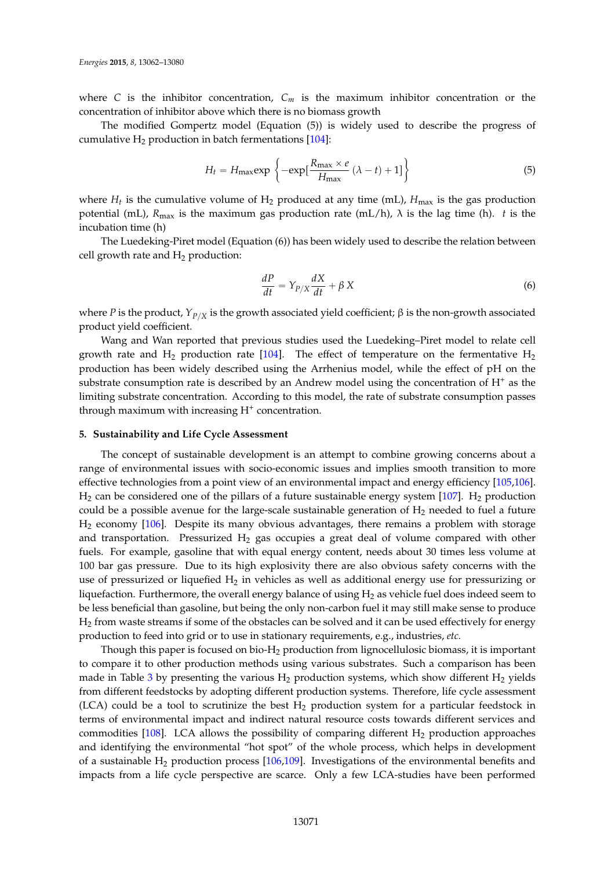where *C* is the inhibitor concentration,  $C_m$  is the maximum inhibitor concentration or the concentration of inhibitor above which there is no biomass growth

The modified Gompertz model (Equation (5)) is widely used to describe the progress of cumulative  $H_2$  production in batch fermentations [\[104\]](#page-17-4):

$$
H_t = H_{\text{max}} \exp\left\{-\exp\left[\frac{R_{\text{max}} \times e}{H_{\text{max}}} \left(\lambda - t\right) + 1\right]\right\}
$$
(5)

where  $H_t$  is the cumulative volume of  $H_2$  produced at any time (mL),  $H_{\text{max}}$  is the gas production potential (mL),  $R_{\text{max}}$  is the maximum gas production rate (mL/h),  $\lambda$  is the lag time (h). *t* is the incubation time (h)

The Luedeking-Piret model (Equation (6)) has been widely used to describe the relation between cell growth rate and  $H_2$  production:

$$
\frac{dP}{dt} = Y_{P/X}\frac{dX}{dt} + \beta X\tag{6}
$$

where *P* is the product, *Y*<sub>*P*/*X*</sub> is the growth associated yield coefficient; β is the non-growth associated product yield coefficient.

Wang and Wan reported that previous studies used the Luedeking–Piret model to relate cell growth rate and  $H_2$  production rate [\[104\]](#page-17-4). The effect of temperature on the fermentative  $H_2$ production has been widely described using the Arrhenius model, while the effect of pH on the substrate consumption rate is described by an Andrew model using the concentration of  $H^+$  as the limiting substrate concentration. According to this model, the rate of substrate consumption passes through maximum with increasing H<sup>+</sup> concentration.

# **5. Sustainability and Life Cycle Assessment**

The concept of sustainable development is an attempt to combine growing concerns about a range of environmental issues with socio-economic issues and implies smooth transition to more effective technologies from a point view of an environmental impact and energy efficiency [\[105](#page-17-5)[,106\]](#page-17-6).  $H_2$  can be considered one of the pillars of a future sustainable energy system [\[107\]](#page-17-7).  $H_2$  production could be a possible avenue for the large-scale sustainable generation of  $H_2$  needed to fuel a future H<sup>2</sup> economy [\[106\]](#page-17-6). Despite its many obvious advantages, there remains a problem with storage and transportation. Pressurized  $H_2$  gas occupies a great deal of volume compared with other fuels. For example, gasoline that with equal energy content, needs about 30 times less volume at 100 bar gas pressure. Due to its high explosivity there are also obvious safety concerns with the use of pressurized or liquefied  $H_2$  in vehicles as well as additional energy use for pressurizing or liquefaction. Furthermore, the overall energy balance of using  $H_2$  as vehicle fuel does indeed seem to be less beneficial than gasoline, but being the only non-carbon fuel it may still make sense to produce H<sup>2</sup> from waste streams if some of the obstacles can be solved and it can be used effectively for energy production to feed into grid or to use in stationary requirements, e.g., industries, *etc.*

Though this paper is focused on bio- $H_2$  production from lignocellulosic biomass, it is important to compare it to other production methods using various substrates. Such a comparison has been made in Table [3](#page-11-0) by presenting the various  $H_2$  production systems, which show different  $H_2$  yields from different feedstocks by adopting different production systems. Therefore, life cycle assessment  $(ICA)$  could be a tool to scrutinize the best  $H<sub>2</sub>$  production system for a particular feedstock in terms of environmental impact and indirect natural resource costs towards different services and commodities [\[108\]](#page-17-8). LCA allows the possibility of comparing different  $H_2$  production approaches and identifying the environmental "hot spot" of the whole process, which helps in development of a sustainable  $H_2$  production process [\[106,](#page-17-6)[109\]](#page-17-9). Investigations of the environmental benefits and impacts from a life cycle perspective are scarce. Only a few LCA-studies have been performed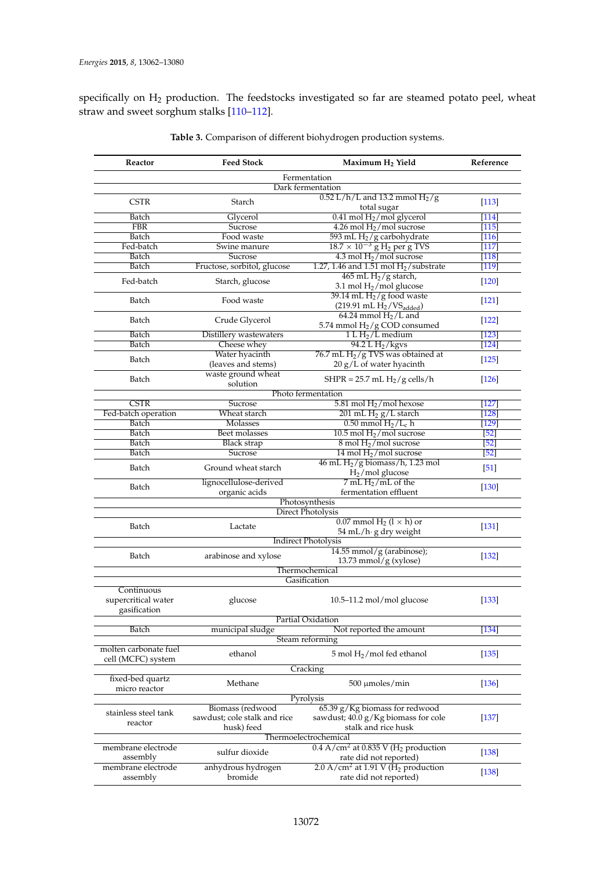specifically on H<sub>2</sub> production. The feedstocks investigated so far are steamed potato peel, wheat straw and sweet sorghum stalks [\[110–](#page-17-10)[112\]](#page-17-11).

| Reactor                           | <b>Feed Stock</b>                       | Maximum H <sub>2</sub> Yield                                         | Reference         |  |  |
|-----------------------------------|-----------------------------------------|----------------------------------------------------------------------|-------------------|--|--|
| Fermentation                      |                                         |                                                                      |                   |  |  |
|                                   |                                         | Dark fermentation                                                    |                   |  |  |
| <b>CSTR</b>                       | Starch                                  | $0.52$ L/h/L and 13.2 mmol $H2$ /g<br>total sugar                    | $[113]$           |  |  |
| Batch                             | Glycerol                                | $0.41$ mol $H2/$ mol glycerol                                        | $[114]$           |  |  |
| <b>FBR</b>                        | Sucrose                                 | 4.26 mol $H_2$ /mol sucrose                                          | $[115]$           |  |  |
| Batch                             | Food waste                              | 593 mL H <sub>2</sub> /g carbohydrate                                | $[116]$           |  |  |
| Fed-batch                         | Swine manure                            | $18.7 \times 10^{-3}$ g H <sub>2</sub> per g TVS                     | $[117]$           |  |  |
| Batch                             | Sucrose                                 | $4.3$ mol $H2/$ mol sucrose                                          | $[118]$           |  |  |
| Batch                             |                                         | 1.27, 1.46 and 1.51 mol $H2/substrate$                               | [119]             |  |  |
|                                   | Fructose, sorbitol, glucose             |                                                                      |                   |  |  |
| Fed-batch                         | Starch, glucose                         | 465 mL $H_2/g$ starch,<br>3.1 mol $H_2$ /mol glucose                 | $[120]$           |  |  |
| Batch                             | Food waste                              | $39.14$ mL $H2/g$ food waste<br>$(219.91 \text{ mL H}_2/VS_{added})$ | $[121]$           |  |  |
| Batch                             | Crude Glycerol                          | $64.24$ mmol $H2/L$ and<br>5.74 mmol H <sub>2</sub> /g COD consumed  | $[122]$           |  |  |
| Batch                             | Distillery wastewaters                  | $1 L H2/L$ medium                                                    | $[123]$           |  |  |
| Batch                             | Cheese whey                             | 94.2 L $H2/kgvs$                                                     | $[124]$           |  |  |
|                                   | Water hyacinth                          | 76.7 mL $H_2/g$ TVS was obtained at                                  |                   |  |  |
| Batch                             | (leaves and stems)                      | 20 g/L of water hyacinth                                             | $[125]$           |  |  |
| Batch                             | waste ground wheat                      | SHPR = $25.7$ mL H <sub>2</sub> /g cells/h                           | [126]             |  |  |
|                                   | solution                                |                                                                      |                   |  |  |
|                                   |                                         | Photo fermentation                                                   |                   |  |  |
| <b>CSTR</b>                       | <b>Sucrose</b>                          | 5.81 mol $H_2$ /mol hexose                                           | [127]             |  |  |
| Fed-batch operation               | Wheat starch                            | $201$ mL $H_2$ $g/L$ starch                                          | [128]             |  |  |
| Batch                             | Molasses                                | $0.50$ mmol $H_2/L_c$ h                                              | $[129]$           |  |  |
| Batch                             | Beet molasses                           | 10.5 mol $H2/$ mol sucrose                                           | $[52]$            |  |  |
|                                   |                                         |                                                                      |                   |  |  |
| Batch                             | <b>Black strap</b>                      | $8 \text{ mol H}_2/\text{mol}$ sucrose                               | [52]              |  |  |
| Batch                             | Sucrose                                 | 14 mol $H2$ /mol sucrose                                             | $\overline{521}$  |  |  |
| Batch                             | Ground wheat starch                     | 46 mL $H_2$ /g biomass/h, 1.23 mol<br>$H2/mol$ glucose               | $\left[51\right]$ |  |  |
| Batch                             | lignocellulose-derived<br>organic acids | $7$ mL $H_2$ /mL of the<br>fermentation effluent                     | $[130]$           |  |  |
|                                   |                                         | Photosynthesis                                                       |                   |  |  |
|                                   |                                         | <b>Direct Photolysis</b>                                             |                   |  |  |
|                                   |                                         |                                                                      |                   |  |  |
| Batch                             | Lactate                                 | $0.07$ mmol H <sub>2</sub> (l $\times$ h) or                         | $[131]$           |  |  |
|                                   |                                         | 54 mL/h· g dry weight                                                |                   |  |  |
|                                   |                                         | <b>Indirect Photolysis</b>                                           |                   |  |  |
| Batch                             | arabinose and xylose                    | $14.55$ mmol/g (arabinose);                                          | $[132]$           |  |  |
|                                   |                                         | $13.73$ mmol/g (xylose)                                              |                   |  |  |
|                                   |                                         | Thermochemical                                                       |                   |  |  |
|                                   |                                         | Gasification                                                         |                   |  |  |
| Continuous<br>supercritical water | glucose                                 | $10.5 - 11.2$ mol/mol glucose                                        | [133]             |  |  |
| gasification                      |                                         |                                                                      |                   |  |  |
|                                   |                                         | Partial Oxidation                                                    |                   |  |  |
| Batch                             | municipal sludge                        | Not reported the amount                                              | [134]             |  |  |
|                                   |                                         | Steam reforming                                                      |                   |  |  |
| molten carbonate fuel             |                                         |                                                                      |                   |  |  |
| cell (MCFC) system                | ethanol                                 | $5 \text{ mol H}_2/\text{mol}$ fed ethanol                           | [135]             |  |  |
|                                   |                                         | Cracking                                                             |                   |  |  |
|                                   |                                         |                                                                      |                   |  |  |
| fixed-bed quartz                  | Methane                                 | $500 \mu$ moles/min                                                  | $[136]$           |  |  |
| micro reactor                     |                                         |                                                                      |                   |  |  |
| Pyrolysis                         |                                         |                                                                      |                   |  |  |
| stainless steel tank              | Biomass (redwood                        | 65.39 g/Kg biomass for redwood                                       |                   |  |  |
| reactor                           | sawdust; cole stalk and rice            | sawdust; 40.0 g/Kg biomass for cole                                  | $[137]$           |  |  |
|                                   | husk) feed                              | stalk and rice husk                                                  |                   |  |  |
| Thermoelectrochemical             |                                         |                                                                      |                   |  |  |
| membrane electrode                |                                         | $0.4$ A/cm <sup>2</sup> at 0.835 V (H <sub>2</sub> production        |                   |  |  |
| assembly                          | sulfur dioxide                          | rate did not reported)                                               | $[138]$           |  |  |
| membrane electrode                | anhydrous hydrogen                      | 2.0 A/cm <sup>2</sup> at 1.91 V ( $H_2$ production                   |                   |  |  |
| assembly                          | bromide                                 | rate did not reported)                                               | [138]             |  |  |

**Table 3.** Comparison of different biohydrogen production systems.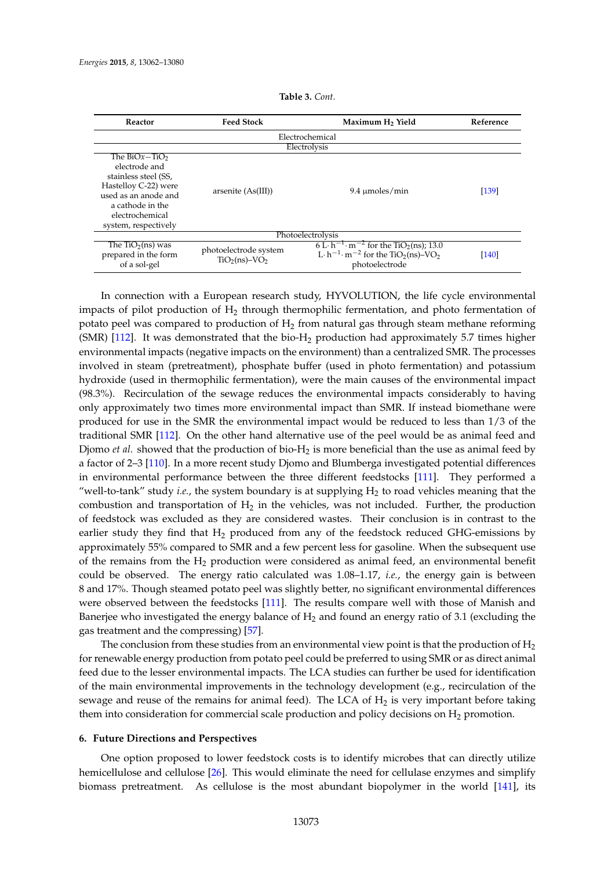<span id="page-11-0"></span>

| Reactor                                                                                                                                                                   | <b>Feed Stock</b><br>Maximum H <sub>2</sub> Yield |                                                                                                                                                                           | Reference |  |  |  |
|---------------------------------------------------------------------------------------------------------------------------------------------------------------------------|---------------------------------------------------|---------------------------------------------------------------------------------------------------------------------------------------------------------------------------|-----------|--|--|--|
| Electrochemical                                                                                                                                                           |                                                   |                                                                                                                                                                           |           |  |  |  |
| Electrolysis                                                                                                                                                              |                                                   |                                                                                                                                                                           |           |  |  |  |
| The $BiOx - TiO2$<br>electrode and<br>stainless steel (SS,<br>Hastelloy C-22) were<br>used as an anode and<br>a cathode in the<br>electrochemical<br>system, respectively | arsenite $(As(III))$                              | $9.4 \mu$ moles/min                                                                                                                                                       | [139]     |  |  |  |
| Photoelectrolysis                                                                                                                                                         |                                                   |                                                                                                                                                                           |           |  |  |  |
| The $TiO2(ns)$ was<br>prepared in the form<br>of a sol-gel                                                                                                                | photoelectrode system<br>$TiO2(ns)-VO2$           | 6 L·h <sup>-1</sup> ·m <sup>-2</sup> for the TiO <sub>2</sub> (ns); 13.0<br>L· $h^{-1}$ · m <sup>-2</sup> for the TiO <sub>2</sub> (ns)-VO <sub>2</sub><br>photoelectrode | [140]     |  |  |  |

**Table 3.** *Cont*.

In connection with a European research study, HYVOLUTION, the life cycle environmental impacts of pilot production of  $H_2$  through thermophilic fermentation, and photo fermentation of potato peel was compared to production of  $H_2$  from natural gas through steam methane reforming  $(SMR)$  [\[112\]](#page-17-11). It was demonstrated that the bio-H<sub>2</sub> production had approximately 5.7 times higher environmental impacts (negative impacts on the environment) than a centralized SMR. The processes involved in steam (pretreatment), phosphate buffer (used in photo fermentation) and potassium hydroxide (used in thermophilic fermentation), were the main causes of the environmental impact (98.3%). Recirculation of the sewage reduces the environmental impacts considerably to having only approximately two times more environmental impact than SMR. If instead biomethane were produced for use in the SMR the environmental impact would be reduced to less than 1/3 of the traditional SMR [\[112\]](#page-17-11). On the other hand alternative use of the peel would be as animal feed and Djomo *et al.* showed that the production of bio-H<sub>2</sub> is more beneficial than the use as animal feed by a factor of 2–3 [\[110\]](#page-17-10). In a more recent study Djomo and Blumberga investigated potential differences in environmental performance between the three different feedstocks [\[111\]](#page-17-22). They performed a "well-to-tank" study *i.e.*, the system boundary is at supplying H<sub>2</sub> to road vehicles meaning that the combustion and transportation of  $H_2$  in the vehicles, was not included. Further, the production of feedstock was excluded as they are considered wastes. Their conclusion is in contrast to the earlier study they find that  $H_2$  produced from any of the feedstock reduced GHG-emissions by approximately 55% compared to SMR and a few percent less for gasoline. When the subsequent use of the remains from the  $H_2$  production were considered as animal feed, an environmental benefit could be observed. The energy ratio calculated was 1.08–1.17, *i.e.*, the energy gain is between 8 and 17%. Though steamed potato peel was slightly better, no significant environmental differences were observed between the feedstocks [\[111\]](#page-17-22). The results compare well with those of Manish and Banerjee who investigated the energy balance of  $H_2$  and found an energy ratio of 3.1 (excluding the gas treatment and the compressing) [\[57\]](#page-15-1).

The conclusion from these studies from an environmental view point is that the production of  $H_2$ for renewable energy production from potato peel could be preferred to using SMR or as direct animal feed due to the lesser environmental impacts. The LCA studies can further be used for identification of the main environmental improvements in the technology development (e.g., recirculation of the sewage and reuse of the remains for animal feed). The LCA of  $H_2$  is very important before taking them into consideration for commercial scale production and policy decisions on  $H_2$  promotion.

# **6. Future Directions and Perspectives**

One option proposed to lower feedstock costs is to identify microbes that can directly utilize hemicellulose and cellulose [\[26\]](#page-13-13). This would eliminate the need for cellulase enzymes and simplify biomass pretreatment. As cellulose is the most abundant biopolymer in the world [\[141\]](#page-18-18), its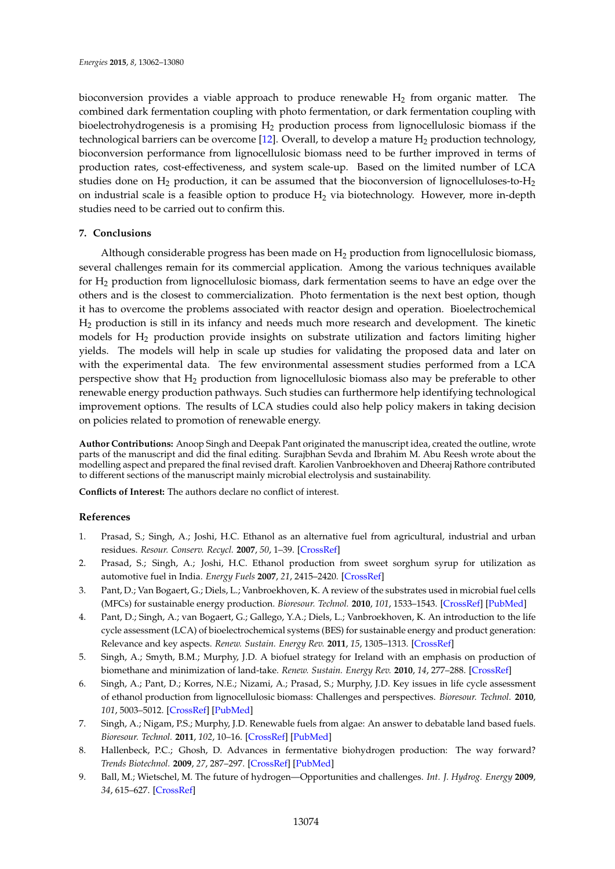bioconversion provides a viable approach to produce renewable  $H_2$  from organic matter. The combined dark fermentation coupling with photo fermentation, or dark fermentation coupling with bioelectrohydrogenesis is a promising  $H_2$  production process from lignocellulosic biomass if the technological barriers can be overcome [\[12\]](#page-13-2). Overall, to develop a mature  $H_2$  production technology, bioconversion performance from lignocellulosic biomass need to be further improved in terms of production rates, cost-effectiveness, and system scale-up. Based on the limited number of LCA studies done on  $H_2$  production, it can be assumed that the bioconversion of lignocelluloses-to- $H_2$ on industrial scale is a feasible option to produce  $H_2$  via biotechnology. However, more in-depth studies need to be carried out to confirm this.

# **7. Conclusions**

Although considerable progress has been made on  $H_2$  production from lignocellulosic biomass, several challenges remain for its commercial application. Among the various techniques available for H<sup>2</sup> production from lignocellulosic biomass, dark fermentation seems to have an edge over the others and is the closest to commercialization. Photo fermentation is the next best option, though it has to overcome the problems associated with reactor design and operation. Bioelectrochemical H<sup>2</sup> production is still in its infancy and needs much more research and development. The kinetic models for H<sup>2</sup> production provide insights on substrate utilization and factors limiting higher yields. The models will help in scale up studies for validating the proposed data and later on with the experimental data. The few environmental assessment studies performed from a LCA perspective show that H<sup>2</sup> production from lignocellulosic biomass also may be preferable to other renewable energy production pathways. Such studies can furthermore help identifying technological improvement options. The results of LCA studies could also help policy makers in taking decision on policies related to promotion of renewable energy.

**Author Contributions:** Anoop Singh and Deepak Pant originated the manuscript idea, created the outline, wrote parts of the manuscript and did the final editing. Surajbhan Sevda and Ibrahim M. Abu Reesh wrote about the modelling aspect and prepared the final revised draft. Karolien Vanbroekhoven and Dheeraj Rathore contributed to different sections of the manuscript mainly microbial electrolysis and sustainability.

**Conflicts of Interest:** The authors declare no conflict of interest.

# **References**

- <span id="page-12-0"></span>1. Prasad, S.; Singh, A.; Joshi, H.C. Ethanol as an alternative fuel from agricultural, industrial and urban residues. *Resour. Conserv. Recycl.* **2007**, *50*, 1–39. [\[CrossRef\]](http://dx.doi.org/10.1016/j.resconrec.2006.05.007)
- 2. Prasad, S.; Singh, A.; Joshi, H.C. Ethanol production from sweet sorghum syrup for utilization as automotive fuel in India. *Energy Fuels* **2007**, *21*, 2415–2420. [\[CrossRef\]](http://dx.doi.org/10.1021/ef060328z)
- 3. Pant, D.; Van Bogaert, G.; Diels, L.; Vanbroekhoven, K. A review of the substrates used in microbial fuel cells (MFCs) for sustainable energy production. *Bioresour. Technol.* **2010**, *101*, 1533–1543. [\[CrossRef\]](http://dx.doi.org/10.1016/j.biortech.2009.10.017) [\[PubMed\]](http://www.ncbi.nlm.nih.gov/pubmed/19892549)
- 4. Pant, D.; Singh, A.; van Bogaert, G.; Gallego, Y.A.; Diels, L.; Vanbroekhoven, K. An introduction to the life cycle assessment (LCA) of bioelectrochemical systems (BES) for sustainable energy and product generation: Relevance and key aspects. *Renew. Sustain. Energy Rev.* **2011**, *15*, 1305–1313. [\[CrossRef\]](http://dx.doi.org/10.1016/j.rser.2010.10.005)
- 5. Singh, A.; Smyth, B.M.; Murphy, J.D. A biofuel strategy for Ireland with an emphasis on production of biomethane and minimization of land-take. *Renew. Sustain. Energy Rev.* **2010**, *14*, 277–288. [\[CrossRef\]](http://dx.doi.org/10.1016/j.rser.2009.07.004)
- 6. Singh, A.; Pant, D.; Korres, N.E.; Nizami, A.; Prasad, S.; Murphy, J.D. Key issues in life cycle assessment of ethanol production from lignocellulosic biomass: Challenges and perspectives. *Bioresour. Technol.* **2010**, *101*, 5003–5012. [\[CrossRef\]](http://dx.doi.org/10.1016/j.biortech.2009.11.062) [\[PubMed\]](http://www.ncbi.nlm.nih.gov/pubmed/20015644)
- <span id="page-12-1"></span>7. Singh, A.; Nigam, P.S.; Murphy, J.D. Renewable fuels from algae: An answer to debatable land based fuels. *Bioresour. Technol.* **2011**, *102*, 10–16. [\[CrossRef\]](http://dx.doi.org/10.1016/j.biortech.2010.06.032) [\[PubMed\]](http://www.ncbi.nlm.nih.gov/pubmed/20615690)
- <span id="page-12-2"></span>8. Hallenbeck, P.C.; Ghosh, D. Advances in fermentative biohydrogen production: The way forward? *Trends Biotechnol.* **2009**, *27*, 287–297. [\[CrossRef\]](http://dx.doi.org/10.1016/j.tibtech.2009.02.004) [\[PubMed\]](http://www.ncbi.nlm.nih.gov/pubmed/19329204)
- <span id="page-12-3"></span>9. Ball, M.; Wietschel, M. The future of hydrogen—Opportunities and challenges. *Int. J. Hydrog. Energy* **2009**, *34*, 615–627. [\[CrossRef\]](http://dx.doi.org/10.1016/j.ijhydene.2008.11.014)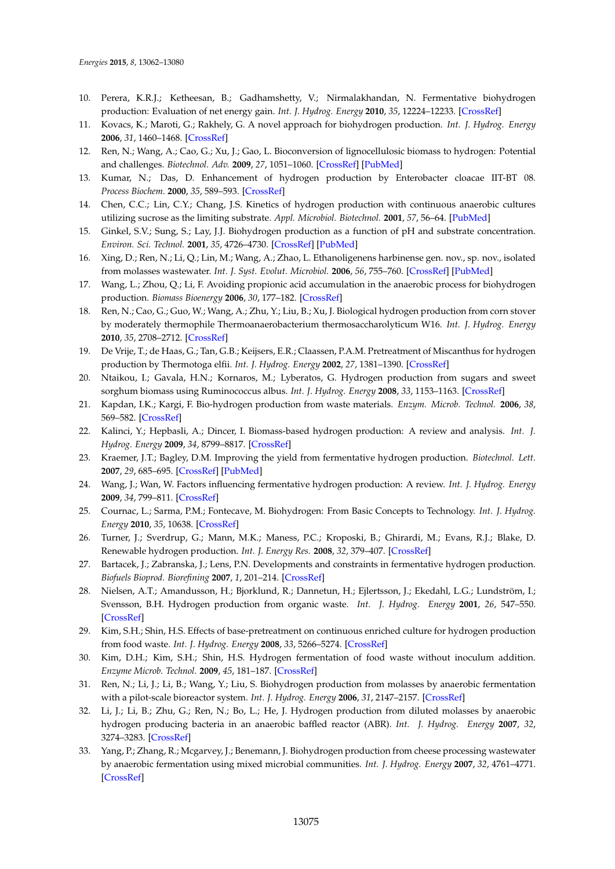- <span id="page-13-0"></span>10. Perera, K.R.J.; Ketheesan, B.; Gadhamshetty, V.; Nirmalakhandan, N. Fermentative biohydrogen production: Evaluation of net energy gain. *Int. J. Hydrog. Energy* **2010**, *35*, 12224–12233. [\[CrossRef\]](http://dx.doi.org/10.1016/j.ijhydene.2010.08.037)
- <span id="page-13-1"></span>11. Kovacs, K.; Maroti, G.; Rakhely, G. A novel approach for biohydrogen production. *Int. J. Hydrog. Energy* **2006**, *31*, 1460–1468. [\[CrossRef\]](http://dx.doi.org/10.1016/j.ijhydene.2006.06.011)
- <span id="page-13-2"></span>12. Ren, N.; Wang, A.; Cao, G.; Xu, J.; Gao, L. Bioconversion of lignocellulosic biomass to hydrogen: Potential and challenges. *Biotechnol. Adv.* **2009**, *27*, 1051–1060. [\[CrossRef\]](http://dx.doi.org/10.1016/j.biotechadv.2009.05.007) [\[PubMed\]](http://www.ncbi.nlm.nih.gov/pubmed/19463936)
- <span id="page-13-3"></span>13. Kumar, N.; Das, D. Enhancement of hydrogen production by Enterobacter cloacae IIT-BT 08. *Process Biochem.* **2000**, *35*, 589–593. [\[CrossRef\]](http://dx.doi.org/10.1016/S0032-9592(99)00109-0)
- 14. Chen, C.C.; Lin, C.Y.; Chang, J.S. Kinetics of hydrogen production with continuous anaerobic cultures utilizing sucrose as the limiting substrate. *Appl. Microbiol. Biotechnol.* **2001**, *57*, 56–64. [\[PubMed\]](http://www.ncbi.nlm.nih.gov/pubmed/11693934)
- 15. Ginkel, S.V.; Sung, S.; Lay, J.J. Biohydrogen production as a function of pH and substrate concentration. *Environ. Sci. Technol.* **2001**, *35*, 4726–4730. [\[CrossRef\]](http://dx.doi.org/10.1021/es001979r) [\[PubMed\]](http://www.ncbi.nlm.nih.gov/pubmed/11775145)
- 16. Xing, D.; Ren, N.; Li, Q.; Lin, M.; Wang, A.; Zhao, L. Ethanoligenens harbinense gen. nov., sp. nov., isolated from molasses wastewater. *Int. J. Syst. Evolut. Microbiol.* **2006**, *56*, 755–760. [\[CrossRef\]](http://dx.doi.org/10.1099/ijs.0.63926-0) [\[PubMed\]](http://www.ncbi.nlm.nih.gov/pubmed/16585689)
- <span id="page-13-4"></span>17. Wang, L.; Zhou, Q.; Li, F. Avoiding propionic acid accumulation in the anaerobic process for biohydrogen production. *Biomass Bioenergy* **2006**, *30*, 177–182. [\[CrossRef\]](http://dx.doi.org/10.1016/j.biombioe.2005.11.010)
- <span id="page-13-5"></span>18. Ren, N.; Cao, G.; Guo, W.; Wang, A.; Zhu, Y.; Liu, B.; Xu, J. Biological hydrogen production from corn stover by moderately thermophile Thermoanaerobacterium thermosaccharolyticum W16. *Int. J. Hydrog. Energy* **2010**, *35*, 2708–2712. [\[CrossRef\]](http://dx.doi.org/10.1016/j.ijhydene.2009.04.044)
- <span id="page-13-6"></span>19. De Vrije, T.; de Haas, G.; Tan, G.B.; Keijsers, E.R.; Claassen, P.A.M. Pretreatment of Miscanthus for hydrogen production by Thermotoga elfii. *Int. J. Hydrog. Energy* **2002**, *27*, 1381–1390. [\[CrossRef\]](http://dx.doi.org/10.1016/S0360-3199(02)00124-6)
- <span id="page-13-7"></span>20. Ntaikou, I.; Gavala, H.N.; Kornaros, M.; Lyberatos, G. Hydrogen production from sugars and sweet sorghum biomass using Ruminococcus albus. *Int. J. Hydrog. Energy* **2008**, *33*, 1153–1163. [\[CrossRef\]](http://dx.doi.org/10.1016/j.ijhydene.2007.10.053)
- <span id="page-13-8"></span>21. Kapdan, I.K.; Kargi, F. Bio-hydrogen production from waste materials. *Enzym. Microb. Technol.* **2006**, *38*, 569–582. [\[CrossRef\]](http://dx.doi.org/10.1016/j.enzmictec.2005.09.015)
- <span id="page-13-9"></span>22. Kalinci, Y.; Hepbasli, A.; Dincer, I. Biomass-based hydrogen production: A review and analysis. *Int. J. Hydrog. Energy* **2009**, *34*, 8799–8817. [\[CrossRef\]](http://dx.doi.org/10.1016/j.ijhydene.2009.08.078)
- <span id="page-13-10"></span>23. Kraemer, J.T.; Bagley, D.M. Improving the yield from fermentative hydrogen production. *Biotechnol. Lett.* **2007**, *29*, 685–695. [\[CrossRef\]](http://dx.doi.org/10.1007/s10529-006-9299-9) [\[PubMed\]](http://www.ncbi.nlm.nih.gov/pubmed/17279447)
- <span id="page-13-11"></span>24. Wang, J.; Wan, W. Factors influencing fermentative hydrogen production: A review. *Int. J. Hydrog. Energy* **2009**, *34*, 799–811. [\[CrossRef\]](http://dx.doi.org/10.1016/j.ijhydene.2008.11.015)
- <span id="page-13-12"></span>25. Cournac, L.; Sarma, P.M.; Fontecave, M. Biohydrogen: From Basic Concepts to Technology. *Int. J. Hydrog. Energy* **2010**, *35*, 10638. [\[CrossRef\]](http://dx.doi.org/10.1016/j.ijhydene.2010.07.096)
- <span id="page-13-13"></span>26. Turner, J.; Sverdrup, G.; Mann, M.K.; Maness, P.C.; Kroposki, B.; Ghirardi, M.; Evans, R.J.; Blake, D. Renewable hydrogen production. *Int. J. Energy Res.* **2008**, *32*, 379–407. [\[CrossRef\]](http://dx.doi.org/10.1002/er.1372)
- <span id="page-13-14"></span>27. Bartacek, J.; Zabranska, J.; Lens, P.N. Developments and constraints in fermentative hydrogen production. *Biofuels Bioprod. Biorefining* **2007**, *1*, 201–214. [\[CrossRef\]](http://dx.doi.org/10.1002/bbb.17)
- <span id="page-13-15"></span>28. Nielsen, A.T.; Amandusson, H.; Bjorklund, R.; Dannetun, H.; Ejlertsson, J.; Ekedahl, L.G.; Lundström, I.; Svensson, B.H. Hydrogen production from organic waste. *Int. J. Hydrog. Energy* **2001**, *26*, 547–550. [\[CrossRef\]](http://dx.doi.org/10.1016/S0360-3199(00)00125-7)
- 29. Kim, S.H.; Shin, H.S. Effects of base-pretreatment on continuous enriched culture for hydrogen production from food waste. *Int. J. Hydrog. Energy* **2008**, *33*, 5266–5274. [\[CrossRef\]](http://dx.doi.org/10.1016/j.ijhydene.2008.05.010)
- <span id="page-13-16"></span>30. Kim, D.H.; Kim, S.H.; Shin, H.S. Hydrogen fermentation of food waste without inoculum addition. *Enzyme Microb. Technol.* **2009**, *45*, 181–187. [\[CrossRef\]](http://dx.doi.org/10.1016/j.enzmictec.2009.06.013)
- <span id="page-13-17"></span>31. Ren, N.; Li, J.; Li, B.; Wang, Y.; Liu, S. Biohydrogen production from molasses by anaerobic fermentation with a pilot-scale bioreactor system. *Int. J. Hydrog. Energy* **2006**, *31*, 2147–2157. [\[CrossRef\]](http://dx.doi.org/10.1016/j.ijhydene.2006.02.011)
- <span id="page-13-18"></span>32. Li, J.; Li, B.; Zhu, G.; Ren, N.; Bo, L.; He, J. Hydrogen production from diluted molasses by anaerobic hydrogen producing bacteria in an anaerobic baffled reactor (ABR). *Int. J. Hydrog. Energy* **2007**, *32*, 3274–3283. [\[CrossRef\]](http://dx.doi.org/10.1016/j.ijhydene.2007.04.023)
- <span id="page-13-19"></span>33. Yang, P.; Zhang, R.; Mcgarvey, J.; Benemann, J. Biohydrogen production from cheese processing wastewater by anaerobic fermentation using mixed microbial communities. *Int. J. Hydrog. Energy* **2007**, *32*, 4761–4771. [\[CrossRef\]](http://dx.doi.org/10.1016/j.ijhydene.2007.07.038)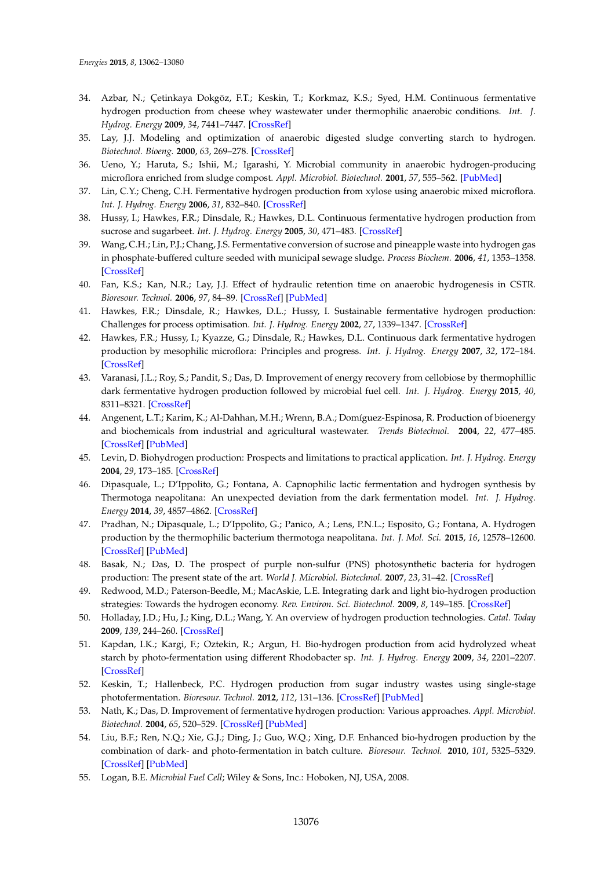- <span id="page-14-0"></span>34. Azbar, N.; Çetinkaya Dokgöz, F.T.; Keskin, T.; Korkmaz, K.S.; Syed, H.M. Continuous fermentative hydrogen production from cheese whey wastewater under thermophilic anaerobic conditions. *Int. J. Hydrog. Energy* **2009**, *34*, 7441–7447. [\[CrossRef\]](http://dx.doi.org/10.1016/j.ijhydene.2009.04.032)
- <span id="page-14-1"></span>35. Lay, J.J. Modeling and optimization of anaerobic digested sludge converting starch to hydrogen. *Biotechnol. Bioeng.* **2000**, *63*, 269–278. [\[CrossRef\]](http://dx.doi.org/10.1002/(SICI)1097-0290(20000505)68:3<269::AID-BIT5>3.0.CO;2-T)
- <span id="page-14-2"></span>36. Ueno, Y.; Haruta, S.; Ishii, M.; Igarashi, Y. Microbial community in anaerobic hydrogen-producing microflora enriched from sludge compost. *Appl. Microbiol. Biotechnol.* **2001**, *57*, 555–562. [\[PubMed\]](http://www.ncbi.nlm.nih.gov/pubmed/11762604)
- <span id="page-14-3"></span>37. Lin, C.Y.; Cheng, C.H. Fermentative hydrogen production from xylose using anaerobic mixed microflora. *Int. J. Hydrog. Energy* **2006**, *31*, 832–840. [\[CrossRef\]](http://dx.doi.org/10.1016/j.ijhydene.2005.08.010)
- <span id="page-14-4"></span>38. Hussy, I.; Hawkes, F.R.; Dinsdale, R.; Hawkes, D.L. Continuous fermentative hydrogen production from sucrose and sugarbeet. *Int. J. Hydrog. Energy* **2005**, *30*, 471–483. [\[CrossRef\]](http://dx.doi.org/10.1016/j.ijhydene.2004.04.003)
- <span id="page-14-5"></span>39. Wang, C.H.; Lin, P.J.; Chang, J.S. Fermentative conversion of sucrose and pineapple waste into hydrogen gas in phosphate-buffered culture seeded with municipal sewage sludge. *Process Biochem.* **2006**, *41*, 1353–1358. [\[CrossRef\]](http://dx.doi.org/10.1016/j.procbio.2006.01.016)
- <span id="page-14-6"></span>40. Fan, K.S.; Kan, N.R.; Lay, J.J. Effect of hydraulic retention time on anaerobic hydrogenesis in CSTR. *Bioresour. Technol.* **2006**, *97*, 84–89. [\[CrossRef\]](http://dx.doi.org/10.1016/j.biortech.2005.02.014) [\[PubMed\]](http://www.ncbi.nlm.nih.gov/pubmed/16154506)
- <span id="page-14-7"></span>41. Hawkes, F.R.; Dinsdale, R.; Hawkes, D.L.; Hussy, I. Sustainable fermentative hydrogen production: Challenges for process optimisation. *Int. J. Hydrog. Energy* **2002**, *27*, 1339–1347. [\[CrossRef\]](http://dx.doi.org/10.1016/S0360-3199(02)00090-3)
- <span id="page-14-8"></span>42. Hawkes, F.R.; Hussy, I.; Kyazze, G.; Dinsdale, R.; Hawkes, D.L. Continuous dark fermentative hydrogen production by mesophilic microflora: Principles and progress. *Int. J. Hydrog. Energy* **2007**, *32*, 172–184. [\[CrossRef\]](http://dx.doi.org/10.1016/j.ijhydene.2006.08.014)
- <span id="page-14-9"></span>43. Varanasi, J.L.; Roy, S.; Pandit, S.; Das, D. Improvement of energy recovery from cellobiose by thermophillic dark fermentative hydrogen production followed by microbial fuel cell. *Int. J. Hydrog. Energy* **2015**, *40*, 8311–8321. [\[CrossRef\]](http://dx.doi.org/10.1016/j.ijhydene.2015.04.124)
- <span id="page-14-10"></span>44. Angenent, L.T.; Karim, K.; Al-Dahhan, M.H.; Wrenn, B.A.; Domíguez-Espinosa, R. Production of bioenergy and biochemicals from industrial and agricultural wastewater. *Trends Biotechnol.* **2004**, *22*, 477–485. [\[CrossRef\]](http://dx.doi.org/10.1016/j.tibtech.2004.07.001) [\[PubMed\]](http://www.ncbi.nlm.nih.gov/pubmed/15331229)
- <span id="page-14-11"></span>45. Levin, D. Biohydrogen production: Prospects and limitations to practical application. *Int. J. Hydrog. Energy* **2004**, *29*, 173–185. [\[CrossRef\]](http://dx.doi.org/10.1016/S0360-3199(03)00094-6)
- <span id="page-14-12"></span>46. Dipasquale, L.; D'Ippolito, G.; Fontana, A. Capnophilic lactic fermentation and hydrogen synthesis by Thermotoga neapolitana: An unexpected deviation from the dark fermentation model. *Int. J. Hydrog. Energy* **2014**, *39*, 4857–4862. [\[CrossRef\]](http://dx.doi.org/10.1016/j.ijhydene.2013.12.183)
- <span id="page-14-13"></span>47. Pradhan, N.; Dipasquale, L.; D'Ippolito, G.; Panico, A.; Lens, P.N.L.; Esposito, G.; Fontana, A. Hydrogen production by the thermophilic bacterium thermotoga neapolitana. *Int. J. Mol. Sci.* **2015**, *16*, 12578–12600. [\[CrossRef\]](http://dx.doi.org/10.3390/ijms160612578) [\[PubMed\]](http://www.ncbi.nlm.nih.gov/pubmed/26053393)
- <span id="page-14-14"></span>48. Basak, N.; Das, D. The prospect of purple non-sulfur (PNS) photosynthetic bacteria for hydrogen production: The present state of the art. *World J. Microbiol. Biotechnol.* **2007**, *23*, 31–42. [\[CrossRef\]](http://dx.doi.org/10.1007/s11274-006-9190-9)
- <span id="page-14-15"></span>49. Redwood, M.D.; Paterson-Beedle, M.; MacAskie, L.E. Integrating dark and light bio-hydrogen production strategies: Towards the hydrogen economy. *Rev. Environ. Sci. Biotechnol.* **2009**, *8*, 149–185. [\[CrossRef\]](http://dx.doi.org/10.1007/s11157-008-9144-9)
- <span id="page-14-16"></span>50. Holladay, J.D.; Hu, J.; King, D.L.; Wang, Y. An overview of hydrogen production technologies. *Catal. Today* **2009**, *139*, 244–260. [\[CrossRef\]](http://dx.doi.org/10.1016/j.cattod.2008.08.039)
- <span id="page-14-17"></span>51. Kapdan, I.K.; Kargi, F.; Oztekin, R.; Argun, H. Bio-hydrogen production from acid hydrolyzed wheat starch by photo-fermentation using different Rhodobacter sp. *Int. J. Hydrog. Energy* **2009**, *34*, 2201–2207. [\[CrossRef\]](http://dx.doi.org/10.1016/j.ijhydene.2009.01.017)
- <span id="page-14-18"></span>52. Keskin, T.; Hallenbeck, P.C. Hydrogen production from sugar industry wastes using single-stage photofermentation. *Bioresour. Technol.* **2012**, *112*, 131–136. [\[CrossRef\]](http://dx.doi.org/10.1016/j.biortech.2012.02.077) [\[PubMed\]](http://www.ncbi.nlm.nih.gov/pubmed/22420990)
- <span id="page-14-19"></span>53. Nath, K.; Das, D. Improvement of fermentative hydrogen production: Various approaches. *Appl. Microbiol. Biotechnol.* **2004**, *65*, 520–529. [\[CrossRef\]](http://dx.doi.org/10.1007/s00253-004-1644-0) [\[PubMed\]](http://www.ncbi.nlm.nih.gov/pubmed/15378294)
- <span id="page-14-20"></span>54. Liu, B.F.; Ren, N.Q.; Xie, G.J.; Ding, J.; Guo, W.Q.; Xing, D.F. Enhanced bio-hydrogen production by the combination of dark- and photo-fermentation in batch culture. *Bioresour. Technol.* **2010**, *101*, 5325–5329. [\[CrossRef\]](http://dx.doi.org/10.1016/j.biortech.2010.02.024) [\[PubMed\]](http://www.ncbi.nlm.nih.gov/pubmed/20202826)
- <span id="page-14-21"></span>55. Logan, B.E. *Microbial Fuel Cell*; Wiley & Sons, Inc.: Hoboken, NJ, USA, 2008.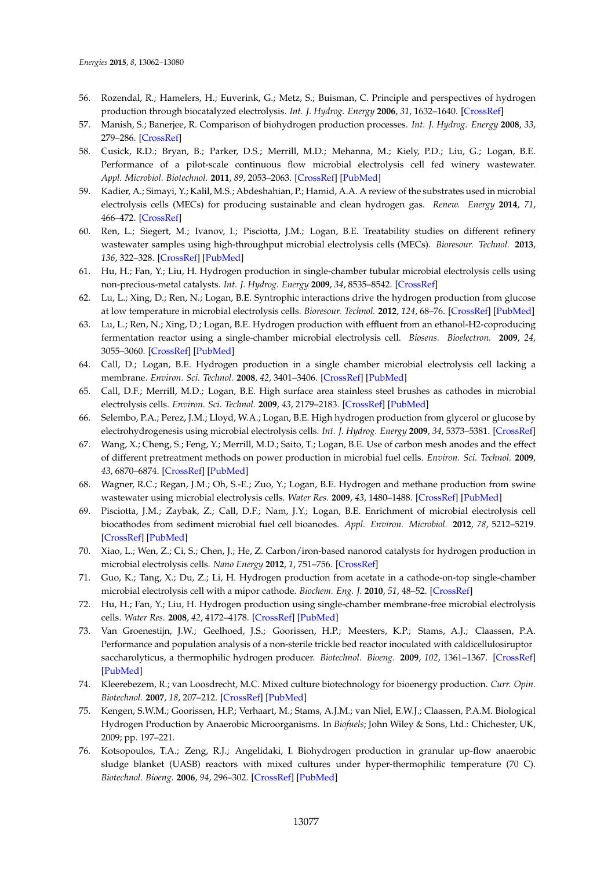- <span id="page-15-0"></span>56. Rozendal, R.; Hamelers, H.; Euverink, G.; Metz, S.; Buisman, C. Principle and perspectives of hydrogen production through biocatalyzed electrolysis. *Int. J. Hydrog. Energy* **2006**, *31*, 1632–1640. [\[CrossRef\]](http://dx.doi.org/10.1016/j.ijhydene.2005.12.006)
- <span id="page-15-1"></span>57. Manish, S.; Banerjee, R. Comparison of biohydrogen production processes. *Int. J. Hydrog. Energy* **2008**, *33*, 279–286. [\[CrossRef\]](http://dx.doi.org/10.1016/j.ijhydene.2007.07.026)
- <span id="page-15-2"></span>58. Cusick, R.D.; Bryan, B.; Parker, D.S.; Merrill, M.D.; Mehanna, M.; Kiely, P.D.; Liu, G.; Logan, B.E. Performance of a pilot-scale continuous flow microbial electrolysis cell fed winery wastewater. *Appl. Microbiol. Biotechnol.* **2011**, *89*, 2053–2063. [\[CrossRef\]](http://dx.doi.org/10.1007/s00253-011-3130-9) [\[PubMed\]](http://www.ncbi.nlm.nih.gov/pubmed/21305277)
- <span id="page-15-3"></span>59. Kadier, A.; Simayi, Y.; Kalil, M.S.; Abdeshahian, P.; Hamid, A.A. A review of the substrates used in microbial electrolysis cells (MECs) for producing sustainable and clean hydrogen gas. *Renew. Energy* **2014**, *71*, 466–472. [\[CrossRef\]](http://dx.doi.org/10.1016/j.renene.2014.05.052)
- <span id="page-15-4"></span>60. Ren, L.; Siegert, M.; Ivanov, I.; Pisciotta, J.M.; Logan, B.E. Treatability studies on different refinery wastewater samples using high-throughput microbial electrolysis cells (MECs). *Bioresour. Technol.* **2013**, *136*, 322–328. [\[CrossRef\]](http://dx.doi.org/10.1016/j.biortech.2013.03.060) [\[PubMed\]](http://www.ncbi.nlm.nih.gov/pubmed/23567698)
- <span id="page-15-5"></span>61. Hu, H.; Fan, Y.; Liu, H. Hydrogen production in single-chamber tubular microbial electrolysis cells using non-precious-metal catalysts. *Int. J. Hydrog. Energy* **2009**, *34*, 8535–8542. [\[CrossRef\]](http://dx.doi.org/10.1016/j.ijhydene.2009.08.011)
- <span id="page-15-6"></span>62. Lu, L.; Xing, D.; Ren, N.; Logan, B.E. Syntrophic interactions drive the hydrogen production from glucose at low temperature in microbial electrolysis cells. *Bioresour. Technol.* **2012**, *124*, 68–76. [\[CrossRef\]](http://dx.doi.org/10.1016/j.biortech.2012.08.040) [\[PubMed\]](http://www.ncbi.nlm.nih.gov/pubmed/22989636)
- <span id="page-15-7"></span>63. Lu, L.; Ren, N.; Xing, D.; Logan, B.E. Hydrogen production with effluent from an ethanol-H2-coproducing fermentation reactor using a single-chamber microbial electrolysis cell. *Biosens. Bioelectron.* **2009**, *24*, 3055–3060. [\[CrossRef\]](http://dx.doi.org/10.1016/j.bios.2009.03.024) [\[PubMed\]](http://www.ncbi.nlm.nih.gov/pubmed/19375299)
- <span id="page-15-8"></span>64. Call, D.; Logan, B.E. Hydrogen production in a single chamber microbial electrolysis cell lacking a membrane. *Environ. Sci. Technol.* **2008**, *42*, 3401–3406. [\[CrossRef\]](http://dx.doi.org/10.1021/es8001822) [\[PubMed\]](http://www.ncbi.nlm.nih.gov/pubmed/18522125)
- <span id="page-15-9"></span>65. Call, D.F.; Merrill, M.D.; Logan, B.E. High surface area stainless steel brushes as cathodes in microbial electrolysis cells. *Environ. Sci. Technol.* **2009**, *43*, 2179–2183. [\[CrossRef\]](http://dx.doi.org/10.1021/es803074x) [\[PubMed\]](http://www.ncbi.nlm.nih.gov/pubmed/19368232)
- <span id="page-15-10"></span>66. Selembo, P.A.; Perez, J.M.; Lloyd, W.A.; Logan, B.E. High hydrogen production from glycerol or glucose by electrohydrogenesis using microbial electrolysis cells. *Int. J. Hydrog. Energy* **2009**, *34*, 5373–5381. [\[CrossRef\]](http://dx.doi.org/10.1016/j.ijhydene.2009.05.002)
- <span id="page-15-11"></span>67. Wang, X.; Cheng, S.; Feng, Y.; Merrill, M.D.; Saito, T.; Logan, B.E. Use of carbon mesh anodes and the effect of different pretreatment methods on power production in microbial fuel cells. *Environ. Sci. Technol.* **2009**, *43*, 6870–6874. [\[CrossRef\]](http://dx.doi.org/10.1021/es900997w) [\[PubMed\]](http://www.ncbi.nlm.nih.gov/pubmed/19764262)
- <span id="page-15-12"></span>68. Wagner, R.C.; Regan, J.M.; Oh, S.-E.; Zuo, Y.; Logan, B.E. Hydrogen and methane production from swine wastewater using microbial electrolysis cells. *Water Res.* **2009**, *43*, 1480–1488. [\[CrossRef\]](http://dx.doi.org/10.1016/j.watres.2008.12.037) [\[PubMed\]](http://www.ncbi.nlm.nih.gov/pubmed/19138783)
- <span id="page-15-13"></span>69. Pisciotta, J.M.; Zaybak, Z.; Call, D.F.; Nam, J.Y.; Logan, B.E. Enrichment of microbial electrolysis cell biocathodes from sediment microbial fuel cell bioanodes. *Appl. Environ. Microbiol.* **2012**, *78*, 5212–5219. [\[CrossRef\]](http://dx.doi.org/10.1128/AEM.00480-12) [\[PubMed\]](http://www.ncbi.nlm.nih.gov/pubmed/22610438)
- <span id="page-15-14"></span>70. Xiao, L.; Wen, Z.; Ci, S.; Chen, J.; He, Z. Carbon/iron-based nanorod catalysts for hydrogen production in microbial electrolysis cells. *Nano Energy* **2012**, *1*, 751–756. [\[CrossRef\]](http://dx.doi.org/10.1016/j.nanoen.2012.06.002)
- <span id="page-15-15"></span>71. Guo, K.; Tang, X.; Du, Z.; Li, H. Hydrogen production from acetate in a cathode-on-top single-chamber microbial electrolysis cell with a mipor cathode. *Biochem. Eng. J.* **2010**, *51*, 48–52. [\[CrossRef\]](http://dx.doi.org/10.1016/j.bej.2010.05.001)
- <span id="page-15-16"></span>72. Hu, H.; Fan, Y.; Liu, H. Hydrogen production using single-chamber membrane-free microbial electrolysis cells. *Water Res.* **2008**, *42*, 4172–4178. [\[CrossRef\]](http://dx.doi.org/10.1016/j.watres.2008.06.015) [\[PubMed\]](http://www.ncbi.nlm.nih.gov/pubmed/18718624)
- <span id="page-15-17"></span>73. Van Groenestijn, J.W.; Geelhoed, J.S.; Goorissen, H.P.; Meesters, K.P.; Stams, A.J.; Claassen, P.A. Performance and population analysis of a non-sterile trickle bed reactor inoculated with caldicellulosiruptor saccharolyticus, a thermophilic hydrogen producer. *Biotechnol. Bioeng.* **2009**, *102*, 1361–1367. [\[CrossRef\]](http://dx.doi.org/10.1002/bit.22185) [\[PubMed\]](http://www.ncbi.nlm.nih.gov/pubmed/19016484)
- <span id="page-15-18"></span>74. Kleerebezem, R.; van Loosdrecht, M.C. Mixed culture biotechnology for bioenergy production. *Curr. Opin. Biotechnol.* **2007**, *18*, 207–212. [\[CrossRef\]](http://dx.doi.org/10.1016/j.copbio.2007.05.001) [\[PubMed\]](http://www.ncbi.nlm.nih.gov/pubmed/17509864)
- <span id="page-15-19"></span>75. Kengen, S.W.M.; Goorissen, H.P.; Verhaart, M.; Stams, A.J.M.; van Niel, E.W.J.; Claassen, P.A.M. Biological Hydrogen Production by Anaerobic Microorganisms. In *Biofuels*; John Wiley & Sons, Ltd.: Chichester, UK, 2009; pp. 197–221.
- <span id="page-15-20"></span>76. Kotsopoulos, T.A.; Zeng, R.J.; Angelidaki, I. Biohydrogen production in granular up-flow anaerobic sludge blanket (UASB) reactors with mixed cultures under hyper-thermophilic temperature (70 C). *Biotechnol. Bioeng.* **2006**, *94*, 296–302. [\[CrossRef\]](http://dx.doi.org/10.1002/bit.20844) [\[PubMed\]](http://www.ncbi.nlm.nih.gov/pubmed/16570323)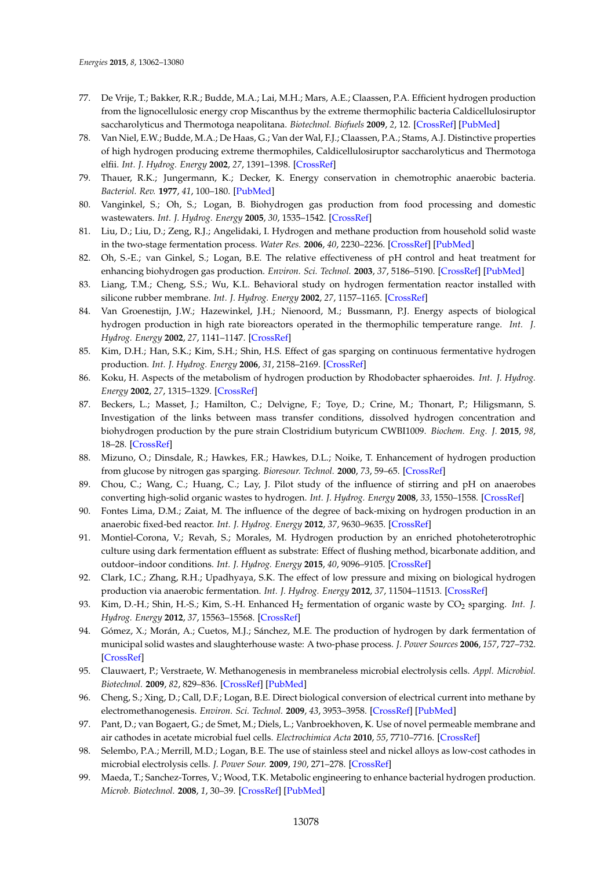- <span id="page-16-0"></span>77. De Vrije, T.; Bakker, R.R.; Budde, M.A.; Lai, M.H.; Mars, A.E.; Claassen, P.A. Efficient hydrogen production from the lignocellulosic energy crop Miscanthus by the extreme thermophilic bacteria Caldicellulosiruptor saccharolyticus and Thermotoga neapolitana. *Biotechnol. Biofuels* **2009**, *2*, 12. [\[CrossRef\]](http://dx.doi.org/10.1186/1754-6834-2-12) [\[PubMed\]](http://www.ncbi.nlm.nih.gov/pubmed/19534765)
- <span id="page-16-1"></span>78. Van Niel, E.W.; Budde, M.A.; De Haas, G.; Van der Wal, F.J.; Claassen, P.A.; Stams, A.J. Distinctive properties of high hydrogen producing extreme thermophiles, Caldicellulosiruptor saccharolyticus and Thermotoga elfii. *Int. J. Hydrog. Energy* **2002**, *27*, 1391–1398. [\[CrossRef\]](http://dx.doi.org/10.1016/S0360-3199(02)00115-5)
- <span id="page-16-2"></span>79. Thauer, R.K.; Jungermann, K.; Decker, K. Energy conservation in chemotrophic anaerobic bacteria. *Bacteriol. Rev.* **1977**, *41*, 100–180. [\[PubMed\]](http://www.ncbi.nlm.nih.gov/pubmed/860983)
- <span id="page-16-3"></span>80. Vanginkel, S.; Oh, S.; Logan, B. Biohydrogen gas production from food processing and domestic wastewaters. *Int. J. Hydrog. Energy* **2005**, *30*, 1535–1542. [\[CrossRef\]](http://dx.doi.org/10.1016/j.ijhydene.2004.09.017)
- <span id="page-16-4"></span>81. Liu, D.; Liu, D.; Zeng, R.J.; Angelidaki, I. Hydrogen and methane production from household solid waste in the two-stage fermentation process. *Water Res.* **2006**, *40*, 2230–2236. [\[CrossRef\]](http://dx.doi.org/10.1016/j.watres.2006.03.029) [\[PubMed\]](http://www.ncbi.nlm.nih.gov/pubmed/16725172)
- <span id="page-16-5"></span>82. Oh, S.-E.; van Ginkel, S.; Logan, B.E. The relative effectiveness of pH control and heat treatment for enhancing biohydrogen gas production. *Environ. Sci. Technol.* **2003**, *37*, 5186–5190. [\[CrossRef\]](http://dx.doi.org/10.1021/es034291y) [\[PubMed\]](http://www.ncbi.nlm.nih.gov/pubmed/14655706)
- <span id="page-16-6"></span>83. Liang, T.M.; Cheng, S.S.; Wu, K.L. Behavioral study on hydrogen fermentation reactor installed with silicone rubber membrane. *Int. J. Hydrog. Energy* **2002**, *27*, 1157–1165. [\[CrossRef\]](http://dx.doi.org/10.1016/S0360-3199(02)00099-X)
- 84. Van Groenestijn, J.W.; Hazewinkel, J.H.; Nienoord, M.; Bussmann, P.J. Energy aspects of biological hydrogen production in high rate bioreactors operated in the thermophilic temperature range. *Int. J. Hydrog. Energy* **2002**, *27*, 1141–1147. [\[CrossRef\]](http://dx.doi.org/10.1016/S0360-3199(02)00096-4)
- <span id="page-16-7"></span>85. Kim, D.H.; Han, S.K.; Kim, S.H.; Shin, H.S. Effect of gas sparging on continuous fermentative hydrogen production. *Int. J. Hydrog. Energy* **2006**, *31*, 2158–2169. [\[CrossRef\]](http://dx.doi.org/10.1016/j.ijhydene.2006.02.012)
- <span id="page-16-8"></span>86. Koku, H. Aspects of the metabolism of hydrogen production by Rhodobacter sphaeroides. *Int. J. Hydrog. Energy* **2002**, *27*, 1315–1329. [\[CrossRef\]](http://dx.doi.org/10.1016/S0360-3199(02)00127-1)
- <span id="page-16-9"></span>87. Beckers, L.; Masset, J.; Hamilton, C.; Delvigne, F.; Toye, D.; Crine, M.; Thonart, P.; Hiligsmann, S. Investigation of the links between mass transfer conditions, dissolved hydrogen concentration and biohydrogen production by the pure strain Clostridium butyricum CWBI1009. *Biochem. Eng. J.* **2015**, *98*, 18–28. [\[CrossRef\]](http://dx.doi.org/10.1016/j.bej.2015.01.008)
- <span id="page-16-10"></span>88. Mizuno, O.; Dinsdale, R.; Hawkes, F.R.; Hawkes, D.L.; Noike, T. Enhancement of hydrogen production from glucose by nitrogen gas sparging. *Bioresour. Technol.* **2000**, *73*, 59–65. [\[CrossRef\]](http://dx.doi.org/10.1016/S0960-8524(99)00130-3)
- <span id="page-16-11"></span>89. Chou, C.; Wang, C.; Huang, C.; Lay, J. Pilot study of the influence of stirring and pH on anaerobes converting high-solid organic wastes to hydrogen. *Int. J. Hydrog. Energy* **2008**, *33*, 1550–1558. [\[CrossRef\]](http://dx.doi.org/10.1016/j.ijhydene.2007.09.031)
- <span id="page-16-12"></span>90. Fontes Lima, D.M.; Zaiat, M. The influence of the degree of back-mixing on hydrogen production in an anaerobic fixed-bed reactor. *Int. J. Hydrog. Energy* **2012**, *37*, 9630–9635. [\[CrossRef\]](http://dx.doi.org/10.1016/j.ijhydene.2012.03.097)
- <span id="page-16-13"></span>91. Montiel-Corona, V.; Revah, S.; Morales, M. Hydrogen production by an enriched photoheterotrophic culture using dark fermentation effluent as substrate: Effect of flushing method, bicarbonate addition, and outdoor–indoor conditions. *Int. J. Hydrog. Energy* **2015**, *40*, 9096–9105. [\[CrossRef\]](http://dx.doi.org/10.1016/j.ijhydene.2015.05.067)
- <span id="page-16-14"></span>92. Clark, I.C.; Zhang, R.H.; Upadhyaya, S.K. The effect of low pressure and mixing on biological hydrogen production via anaerobic fermentation. *Int. J. Hydrog. Energy* **2012**, *37*, 11504–11513. [\[CrossRef\]](http://dx.doi.org/10.1016/j.ijhydene.2012.03.154)
- <span id="page-16-15"></span>93. Kim, D.-H.; Shin, H.-S.; Kim, S.-H. Enhanced H<sub>2</sub> fermentation of organic waste by CO<sub>2</sub> sparging. *Int.* J. *Hydrog. Energy* **2012**, *37*, 15563–15568. [\[CrossRef\]](http://dx.doi.org/10.1016/j.ijhydene.2012.03.071)
- <span id="page-16-16"></span>94. Gómez, X.; Morán, A.; Cuetos, M.J.; Sánchez, M.E. The production of hydrogen by dark fermentation of municipal solid wastes and slaughterhouse waste: A two-phase process. *J. Power Sources* **2006**, *157*, 727–732. [\[CrossRef\]](http://dx.doi.org/10.1016/j.jpowsour.2006.01.006)
- <span id="page-16-17"></span>95. Clauwaert, P.; Verstraete, W. Methanogenesis in membraneless microbial electrolysis cells. *Appl. Microbiol. Biotechnol.* **2009**, *82*, 829–836. [\[CrossRef\]](http://dx.doi.org/10.1007/s00253-008-1796-4) [\[PubMed\]](http://www.ncbi.nlm.nih.gov/pubmed/19050859)
- <span id="page-16-18"></span>96. Cheng, S.; Xing, D.; Call, D.F.; Logan, B.E. Direct biological conversion of electrical current into methane by electromethanogenesis. *Environ. Sci. Technol.* **2009**, *43*, 3953–3958. [\[CrossRef\]](http://dx.doi.org/10.1021/es803531g) [\[PubMed\]](http://www.ncbi.nlm.nih.gov/pubmed/19544913)
- <span id="page-16-19"></span>97. Pant, D.; van Bogaert, G.; de Smet, M.; Diels, L.; Vanbroekhoven, K. Use of novel permeable membrane and air cathodes in acetate microbial fuel cells. *Electrochimica Acta* **2010**, *55*, 7710–7716. [\[CrossRef\]](http://dx.doi.org/10.1016/j.electacta.2009.11.086)
- <span id="page-16-20"></span>98. Selembo, P.A.; Merrill, M.D.; Logan, B.E. The use of stainless steel and nickel alloys as low-cost cathodes in microbial electrolysis cells. *J. Power Sour.* **2009**, *190*, 271–278. [\[CrossRef\]](http://dx.doi.org/10.1016/j.jpowsour.2008.12.144)
- <span id="page-16-21"></span>99. Maeda, T.; Sanchez-Torres, V.; Wood, T.K. Metabolic engineering to enhance bacterial hydrogen production. *Microb. Biotechnol.* **2008**, *1*, 30–39. [\[CrossRef\]](http://dx.doi.org/10.1111/j.1751-7915.2007.00003.x) [\[PubMed\]](http://www.ncbi.nlm.nih.gov/pubmed/21261819)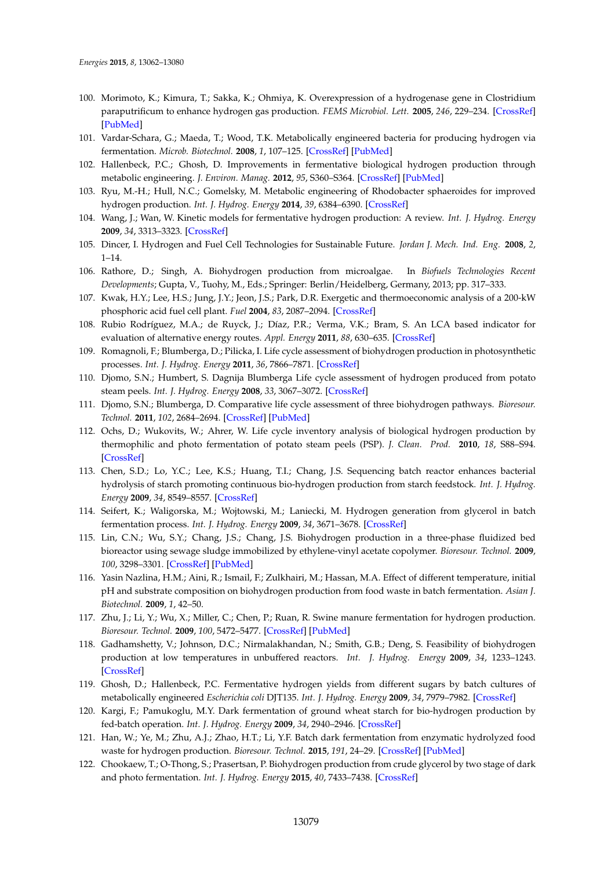- <span id="page-17-0"></span>100. Morimoto, K.; Kimura, T.; Sakka, K.; Ohmiya, K. Overexpression of a hydrogenase gene in Clostridium paraputrificum to enhance hydrogen gas production. *FEMS Microbiol. Lett.* **2005**, *246*, 229–234. [\[CrossRef\]](http://dx.doi.org/10.1016/j.femsle.2005.04.014) [\[PubMed\]](http://www.ncbi.nlm.nih.gov/pubmed/15899410)
- <span id="page-17-1"></span>101. Vardar-Schara, G.; Maeda, T.; Wood, T.K. Metabolically engineered bacteria for producing hydrogen via fermentation. *Microb. Biotechnol.* **2008**, *1*, 107–125. [\[CrossRef\]](http://dx.doi.org/10.1111/j.1751-7915.2007.00009.x) [\[PubMed\]](http://www.ncbi.nlm.nih.gov/pubmed/21261829)
- <span id="page-17-2"></span>102. Hallenbeck, P.C.; Ghosh, D. Improvements in fermentative biological hydrogen production through metabolic engineering. *J. Environ. Manag.* **2012**, *95*, S360–S364. [\[CrossRef\]](http://dx.doi.org/10.1016/j.jenvman.2010.07.021) [\[PubMed\]](http://www.ncbi.nlm.nih.gov/pubmed/20692761)
- <span id="page-17-3"></span>103. Ryu, M.-H.; Hull, N.C.; Gomelsky, M. Metabolic engineering of Rhodobacter sphaeroides for improved hydrogen production. *Int. J. Hydrog. Energy* **2014**, *39*, 6384–6390. [\[CrossRef\]](http://dx.doi.org/10.1016/j.ijhydene.2014.02.021)
- <span id="page-17-4"></span>104. Wang, J.; Wan, W. Kinetic models for fermentative hydrogen production: A review. *Int. J. Hydrog. Energy* **2009**, *34*, 3313–3323. [\[CrossRef\]](http://dx.doi.org/10.1016/j.ijhydene.2009.02.031)
- <span id="page-17-5"></span>105. Dincer, I. Hydrogen and Fuel Cell Technologies for Sustainable Future. *Jordan J. Mech. Ind. Eng.* **2008**, *2*, 1–14.
- <span id="page-17-6"></span>106. Rathore, D.; Singh, A. Biohydrogen production from microalgae. In *Biofuels Technologies Recent Developments*; Gupta, V., Tuohy, M., Eds.; Springer: Berlin/Heidelberg, Germany, 2013; pp. 317–333.
- <span id="page-17-7"></span>107. Kwak, H.Y.; Lee, H.S.; Jung, J.Y.; Jeon, J.S.; Park, D.R. Exergetic and thermoeconomic analysis of a 200-kW phosphoric acid fuel cell plant. *Fuel* **2004**, *83*, 2087–2094. [\[CrossRef\]](http://dx.doi.org/10.1016/j.fuel.2004.04.002)
- <span id="page-17-8"></span>108. Rubio Rodríguez, M.A.; de Ruyck, J.; Díaz, P.R.; Verma, V.K.; Bram, S. An LCA based indicator for evaluation of alternative energy routes. *Appl. Energy* **2011**, *88*, 630–635. [\[CrossRef\]](http://dx.doi.org/10.1016/j.apenergy.2010.08.013)
- <span id="page-17-9"></span>109. Romagnoli, F.; Blumberga, D.; Pilicka, I. Life cycle assessment of biohydrogen production in photosynthetic processes. *Int. J. Hydrog. Energy* **2011**, *36*, 7866–7871. [\[CrossRef\]](http://dx.doi.org/10.1016/j.ijhydene.2011.02.004)
- <span id="page-17-10"></span>110. Djomo, S.N.; Humbert, S. Dagnija Blumberga Life cycle assessment of hydrogen produced from potato steam peels. *Int. J. Hydrog. Energy* **2008**, *33*, 3067–3072. [\[CrossRef\]](http://dx.doi.org/10.1016/j.ijhydene.2008.02.006)
- <span id="page-17-22"></span>111. Djomo, S.N.; Blumberga, D. Comparative life cycle assessment of three biohydrogen pathways. *Bioresour. Technol.* **2011**, *102*, 2684–2694. [\[CrossRef\]](http://dx.doi.org/10.1016/j.biortech.2010.10.139) [\[PubMed\]](http://www.ncbi.nlm.nih.gov/pubmed/21112211)
- <span id="page-17-11"></span>112. Ochs, D.; Wukovits, W.; Ahrer, W. Life cycle inventory analysis of biological hydrogen production by thermophilic and photo fermentation of potato steam peels (PSP). *J. Clean. Prod.* **2010**, *18*, S88–S94. [\[CrossRef\]](http://dx.doi.org/10.1016/j.jclepro.2010.05.018)
- <span id="page-17-12"></span>113. Chen, S.D.; Lo, Y.C.; Lee, K.S.; Huang, T.I.; Chang, J.S. Sequencing batch reactor enhances bacterial hydrolysis of starch promoting continuous bio-hydrogen production from starch feedstock. *Int. J. Hydrog. Energy* **2009**, *34*, 8549–8557. [\[CrossRef\]](http://dx.doi.org/10.1016/j.ijhydene.2009.08.043)
- <span id="page-17-13"></span>114. Seifert, K.; Waligorska, M.; Wojtowski, M.; Laniecki, M. Hydrogen generation from glycerol in batch fermentation process. *Int. J. Hydrog. Energy* **2009**, *34*, 3671–3678. [\[CrossRef\]](http://dx.doi.org/10.1016/j.ijhydene.2009.02.045)
- <span id="page-17-14"></span>115. Lin, C.N.; Wu, S.Y.; Chang, J.S.; Chang, J.S. Biohydrogen production in a three-phase fluidized bed bioreactor using sewage sludge immobilized by ethylene-vinyl acetate copolymer. *Bioresour. Technol.* **2009**, *100*, 3298–3301. [\[CrossRef\]](http://dx.doi.org/10.1016/j.biortech.2009.02.027) [\[PubMed\]](http://www.ncbi.nlm.nih.gov/pubmed/19318247)
- <span id="page-17-15"></span>116. Yasin Nazlina, H.M.; Aini, R.; Ismail, F.; Zulkhairi, M.; Hassan, M.A. Effect of different temperature, initial pH and substrate composition on biohydrogen production from food waste in batch fermentation. *Asian J. Biotechnol.* **2009**, *1*, 42–50.
- <span id="page-17-16"></span>117. Zhu, J.; Li, Y.; Wu, X.; Miller, C.; Chen, P.; Ruan, R. Swine manure fermentation for hydrogen production. *Bioresour. Technol.* **2009**, *100*, 5472–5477. [\[CrossRef\]](http://dx.doi.org/10.1016/j.biortech.2008.11.045) [\[PubMed\]](http://www.ncbi.nlm.nih.gov/pubmed/19157863)
- <span id="page-17-17"></span>118. Gadhamshetty, V.; Johnson, D.C.; Nirmalakhandan, N.; Smith, G.B.; Deng, S. Feasibility of biohydrogen production at low temperatures in unbuffered reactors. *Int. J. Hydrog. Energy* **2009**, *34*, 1233–1243. [\[CrossRef\]](http://dx.doi.org/10.1016/j.ijhydene.2008.10.037)
- <span id="page-17-18"></span>119. Ghosh, D.; Hallenbeck, P.C. Fermentative hydrogen yields from different sugars by batch cultures of metabolically engineered *Escherichia coli* DJT135. *Int. J. Hydrog. Energy* **2009**, *34*, 7979–7982. [\[CrossRef\]](http://dx.doi.org/10.1016/j.ijhydene.2009.08.004)
- <span id="page-17-19"></span>120. Kargi, F.; Pamukoglu, M.Y. Dark fermentation of ground wheat starch for bio-hydrogen production by fed-batch operation. *Int. J. Hydrog. Energy* **2009**, *34*, 2940–2946. [\[CrossRef\]](http://dx.doi.org/10.1016/j.ijhydene.2008.12.101)
- <span id="page-17-20"></span>121. Han, W.; Ye, M.; Zhu, A.J.; Zhao, H.T.; Li, Y.F. Batch dark fermentation from enzymatic hydrolyzed food waste for hydrogen production. *Bioresour. Technol.* **2015**, *191*, 24–29. [\[CrossRef\]](http://dx.doi.org/10.1016/j.biortech.2015.04.120) [\[PubMed\]](http://www.ncbi.nlm.nih.gov/pubmed/25978853)
- <span id="page-17-21"></span>122. Chookaew, T.; O-Thong, S.; Prasertsan, P. Biohydrogen production from crude glycerol by two stage of dark and photo fermentation. *Int. J. Hydrog. Energy* **2015**, *40*, 7433–7438. [\[CrossRef\]](http://dx.doi.org/10.1016/j.ijhydene.2015.02.133)